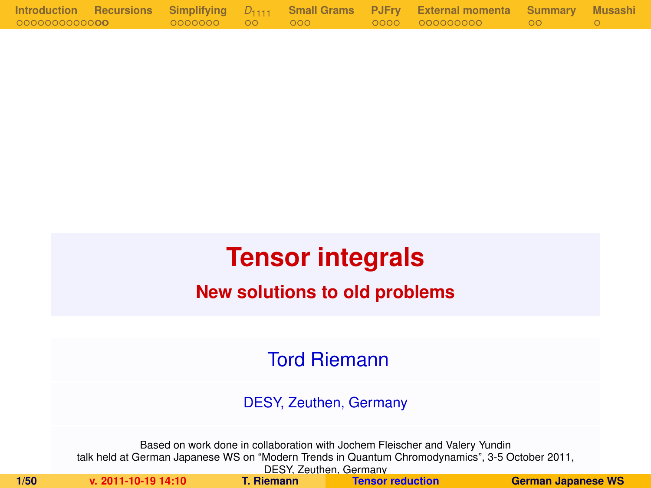|                       |                |  | Introduction Recursions Simplifying $D_{1111}$ Small-Grams PJFry External-momenta Summary Musashi |  |
|-----------------------|----------------|--|---------------------------------------------------------------------------------------------------|--|
| 00000000000 <b>00</b> | 0000000 00 000 |  | . 0000 0000000000 00 00 00                                                                        |  |

# **Tensor integrals**

## **New solutions to old problems**

## Tord Riemann

DESY, Zeuthen, Germany

Based on work done in collaboration with Jochem Fleischer and Valery Yundin talk held at German Japanese WS on "Modern Trends in Quantum Chromodynamics", 3-5 October 2011, DESY, Zeuthen, Germany<br>T. Riemann Tensor reduction

<span id="page-0-0"></span>

**1/50 v. 2011-10-19 14:10 T. Riemann [Tensor reduction](#page-49-0) German Japanese WS**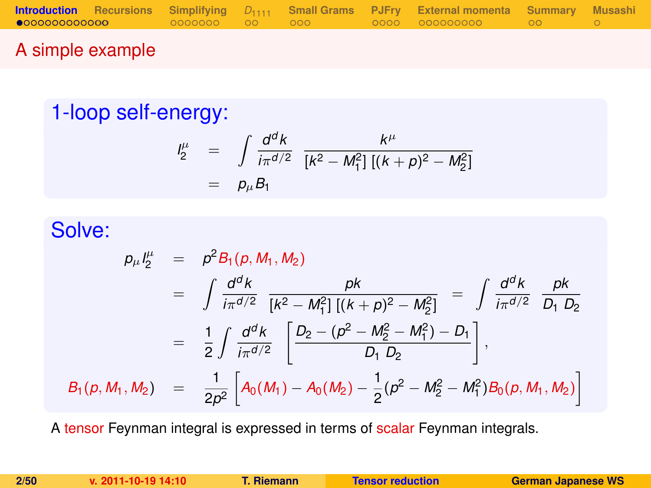### A simple example

# 1-loop self-energy:

<span id="page-1-0"></span>
$$
\begin{array}{rcl}\n l_2^{\mu} & = & \int \frac{d^d k}{i\pi^{d/2}} \frac{k^{\mu}}{[k^2 - M_1^2] \left[ (k+p)^2 - M_2^2 \right]} \\
 & = & p_{\mu} B_1\n \end{array}
$$

# Solve:

$$
p_{\mu}I_{2}^{\mu} = p^{2}B_{1}(p, M_{1}, M_{2})
$$
  
\n
$$
= \int \frac{d^{d}k}{i\pi^{d/2}} \frac{pk}{[k^{2} - M_{1}^{2}][(k+p)^{2} - M_{2}^{2}]} = \int \frac{d^{d}k}{i\pi^{d/2}} \frac{pk}{D_{1} D_{2}}
$$
  
\n
$$
= \frac{1}{2} \int \frac{d^{d}k}{i\pi^{d/2}} \left[ \frac{D_{2} - (p^{2} - M_{2}^{2} - M_{1}^{2}) - D_{1}}{D_{1} D_{2}} \right],
$$
  
\n
$$
B_{1}(p, M_{1}, M_{2}) = \frac{1}{2p^{2}} \left[ A_{0}(M_{1}) - A_{0}(M_{2}) - \frac{1}{2}(p^{2} - M_{2}^{2} - M_{1}^{2}) B_{0}(p, M_{1}, M_{2}) \right]
$$

A tensor Feynman integral is expressed in terms of scalar Feynman integrals.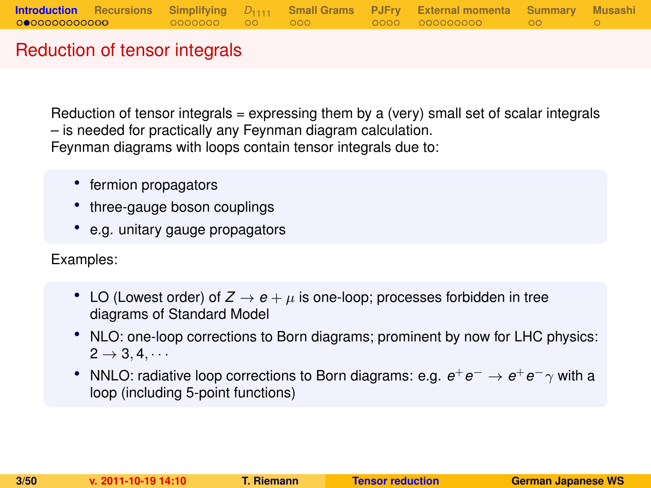### Reduction of tensor integrals

Reduction of tensor integrals  $=$  expressing them by a (very) small set of scalar integrals – is needed for practically any Feynman diagram calculation. Feynman diagrams with loops contain tensor integrals due to:

- fermion propagators
- three-gauge boson couplings
- e.g. unitary gauge propagators

Examples:

- LO (Lowest order) of  $Z \rightarrow e + \mu$  is one-loop; processes forbidden in tree diagrams of Standard Model
- NLO: one-loop corrections to Born diagrams; prominent by now for LHC physics:  $2 \rightarrow 3, 4, \cdots$
- NNLO: radiative loop corrections to Born diagrams: e.g.  $e^+e^- \rightarrow e^+e^-\gamma$  with a loop (including 5-point functions)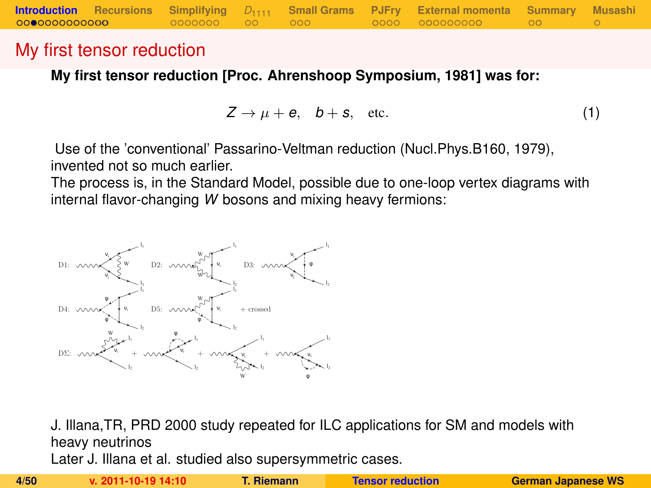### My first tensor reduction

**My first tensor reduction [Proc. Ahrenshoop Symposium, 1981] was for:**

$$
Z \to \mu + e, \quad b + s, \quad \text{etc.} \tag{1}
$$

Use of the 'conventional' Passarino-Veltman reduction (Nucl.Phys.B160, 1979), invented not so much earlier.

The process is, in the Standard Model, possible due to one-loop vertex diagrams with internal flavor-changing *W* bosons and mixing heavy fermions:



J. Illana,TR, PRD 2000 study repeated for ILC applications for SM and models with heavy neutrinos

Later J. Illana et al. studied also supersymmetric cases.

|--|--|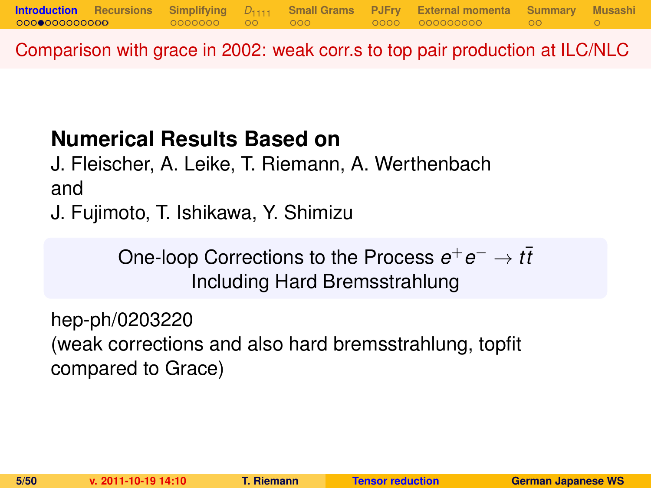Comparison with grace in 2002: weak corr.s to top pair production at ILC/NLC

# **Numerical Results Based on**

J. Fleischer, A. Leike, T. Riemann, A. Werthenbach and

J. Fujimoto, T. Ishikawa, Y. Shimizu

One-loop Corrections to the Process  $e^+e^- \to t\bar{t}$ Including Hard Bremsstrahlung

hep-ph/0203220 (weak corrections and also hard bremsstrahlung, topfit compared to Grace)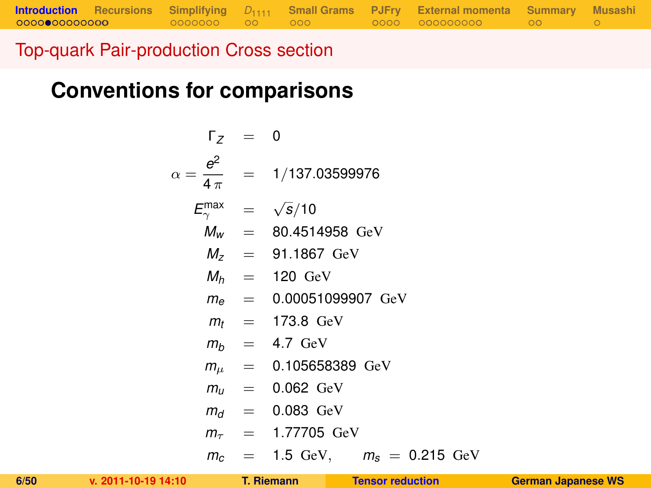# **Conventions for comparisons**

$$
\Gamma_Z = 0
$$
\n
$$
\alpha = \frac{e^2}{4\pi} = 1/137.03599976
$$
\n
$$
E_{\gamma}^{max} = \sqrt{s}/10
$$
\n
$$
M_W = 80.4514958 \text{ GeV}
$$
\n
$$
M_Z = 91.1867 \text{ GeV}
$$
\n
$$
M_h = 120 \text{ GeV}
$$
\n
$$
m_\theta = 0.00051099907 \text{ GeV}
$$
\n
$$
m_t = 173.8 \text{ GeV}
$$
\n
$$
m_b = 4.7 \text{ GeV}
$$
\n
$$
m_\mu = 0.105658389 \text{ GeV}
$$
\n
$$
m_\mu = 0.062 \text{ GeV}
$$
\n
$$
m_\tau = 0.083 \text{ GeV}
$$
\n
$$
m_\tau = 1.77705 \text{ GeV}
$$
\n
$$
m_c = 1.5 \text{ GeV}, \quad m_s = 0.215 \text{ GeV}
$$

**[Introduction](#page-1-0) [Recursions](#page-16-0) [Simplifying](#page-18-0)** *D*[1111](#page-25-0) **[Small Grams](#page-27-0) [PJFry](#page-30-0) [External momenta](#page-35-0) [Summary](#page-46-0) [Musashi](#page-49-0)**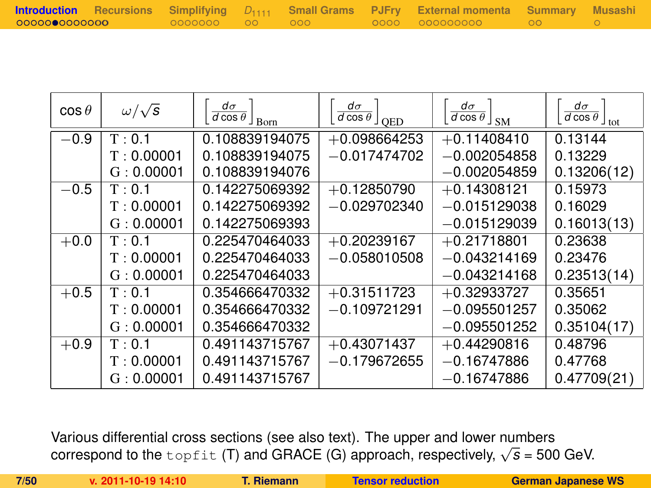|              |  |  | <b>Introduction</b> Recursions Simplifying D <sub>1111</sub> Small Grams PJFry External momenta Summary Musashi |  |
|--------------|--|--|-----------------------------------------------------------------------------------------------------------------|--|
| 000000000000 |  |  | . 0000 000000000 00 00                                                                                          |  |

| $\cos\theta$ | $\omega/\sqrt{s}$ | $d\sigma$<br>$\overline{d \cos \theta}$ $\overline{\text{Born}}$ | $d\sigma$<br>$\overline{d \cos \theta}$ $\int_{QED}$ | $d\sigma$<br>$\overline{d\cos\theta}$ $\vert$ SM | $d\sigma$<br>$\frac{1}{d \cos \theta}$ <sub>tot</sub> |
|--------------|-------------------|------------------------------------------------------------------|------------------------------------------------------|--------------------------------------------------|-------------------------------------------------------|
| $-0.9$       | T: 0.1            | 0.108839194075                                                   | $+0.098664253$                                       | $+0.11408410$                                    | 0.13144                                               |
|              | T: 0.00001        | 0.108839194075                                                   | $-0.017474702$                                       | $-0.002054858$                                   | 0.13229                                               |
|              | G: 0.00001        | 0.108839194076                                                   |                                                      | $-0.002054859$                                   | 0.13206(12)                                           |
| $-0.5$       | T: 0.1            | 0.142275069392                                                   | $+0.12850790$                                        | $+0.14308121$                                    | 0.15973                                               |
|              | T: 0.00001        | 0.142275069392                                                   | $-0.029702340$                                       | $-0.015129038$                                   | 0.16029                                               |
|              | G: 0.00001        | 0.142275069393                                                   |                                                      | $-0.015129039$                                   | 0.16013(13)                                           |
| $+0.0$       | T: 0.1            | 0.225470464033                                                   | $+0.20239167$                                        | $+0.21718801$                                    | 0.23638                                               |
|              | T: 0.00001        | 0.225470464033                                                   | $-0.058010508$                                       | $-0.043214169$                                   | 0.23476                                               |
|              | G: 0.00001        | 0.225470464033                                                   |                                                      | $-0.043214168$                                   | 0.23513(14)                                           |
| $+0.5$       | T: 0.1            | 0.354666470332                                                   | $+0.31511723$                                        | $+0.32933727$                                    | 0.35651                                               |
|              | T: 0.00001        | 0.354666470332                                                   | $-0.109721291$                                       | $-0.095501257$                                   | 0.35062                                               |
|              | G: 0.00001        | 0.354666470332                                                   |                                                      | $-0.095501252$                                   | 0.35104(17)                                           |
| $+0.9$       | T: 0.1            | 0.491143715767                                                   | $+0.43071437$                                        | $+0.44290816$                                    | 0.48796                                               |
|              | T: 0.00001        | 0.491143715767                                                   | $-0.179672655$                                       | $-0.16747886$                                    | 0.47768                                               |
|              | G: 0.00001        | 0.491143715767                                                   |                                                      | $-0.16747886$                                    | 0.47709(21)                                           |

Various differential cross sections (see also text). The upper and lower numbers various unterential cross sections (see also text). The upper and lower humbers<br>correspond to the topfit (T) and GRACE (G) approach, respectively, √*s* = 500 GeV.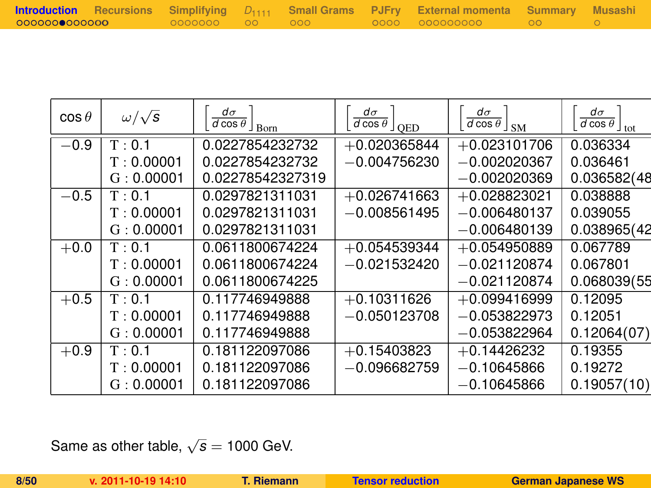|               |                 |  | <b>Introduction</b> Recursions Simplifying D <sub>1111</sub> Small-Grams PJFry External-momenta Summary Musashi |  |
|---------------|-----------------|--|-----------------------------------------------------------------------------------------------------------------|--|
| 0000000000000 | .0000000 00 000 |  | 0000 000000000 00 00                                                                                            |  |

| $\cos\theta$ | $\omega/\sqrt{s}$ | $d\sigma$<br>$\overline{d \cos \theta}$ $\overline{\phantom{a}}$ Born | $d\sigma$<br>$\frac{1}{d \cos \theta}$ $\int_{QED}$ | $d\sigma$<br>$\frac{1}{d \cos \theta}$ $\int_{\text{SM}}$ | $d\sigma$<br>$\overline{d \cos \theta}$ <sub>tot</sub> |
|--------------|-------------------|-----------------------------------------------------------------------|-----------------------------------------------------|-----------------------------------------------------------|--------------------------------------------------------|
| $-0.9$       | T: 0.1            | 0.0227854232732                                                       | $+0.020365844$                                      | $+0.023101706$                                            | 0.036334                                               |
|              | T: 0.00001        | 0.0227854232732                                                       | $-0.004756230$                                      | $-0.002020367$                                            | 0.036461                                               |
|              | G: 0.00001        | 0.02278542327319                                                      |                                                     | $-0.002020369$                                            | 0.036582(48                                            |
| $-0.5$       | T: 0.1            | 0.0297821311031                                                       | $+0.026741663$                                      | $+0.028823021$                                            | 0.038888                                               |
|              | T: 0.00001        | 0.0297821311031                                                       | $-0.008561495$                                      | $-0.006480137$                                            | 0.039055                                               |
|              | G: 0.00001        | 0.0297821311031                                                       |                                                     | $-0.006480139$                                            | 0.038965(42                                            |
| $+0.0$       | T: 0.1            | 0.0611800674224                                                       | $+0.054539344$                                      | $+0.054950889$                                            | 0.067789                                               |
|              | T: 0.00001        | 0.0611800674224                                                       | $-0.021532420$                                      | $-0.021120874$                                            | 0.067801                                               |
|              | G: 0.00001        | 0.0611800674225                                                       |                                                     | $-0.021120874$                                            | 0.068039(55                                            |
| $+0.5$       | T: 0.1            | 0.117746949888                                                        | $+0.10311626$                                       | $+0.099416999$                                            | 0.12095                                                |
|              | T: 0.00001        | 0.117746949888                                                        | $-0.050123708$                                      | $-0.053822973$                                            | 0.12051                                                |
|              | G: 0.00001        | 0.117746949888                                                        |                                                     | $-0.053822964$                                            | 0.12064(07)                                            |
| $+0.9$       | T: 0.1            | 0.181122097086                                                        | $+0.15403823$                                       | $+0.14426232$                                             | 0.19355                                                |
|              | T: 0.00001        | 0.181122097086                                                        | $-0.096682759$                                      | $-0.10645866$                                             | 0.19272                                                |
|              | G: 0.00001        | 0.181122097086                                                        |                                                     | $-0.10645866$                                             | 0.19057(10)                                            |
|              |                   |                                                                       |                                                     |                                                           |                                                        |

Same as other table,  $\sqrt{s} = 1000$  GeV.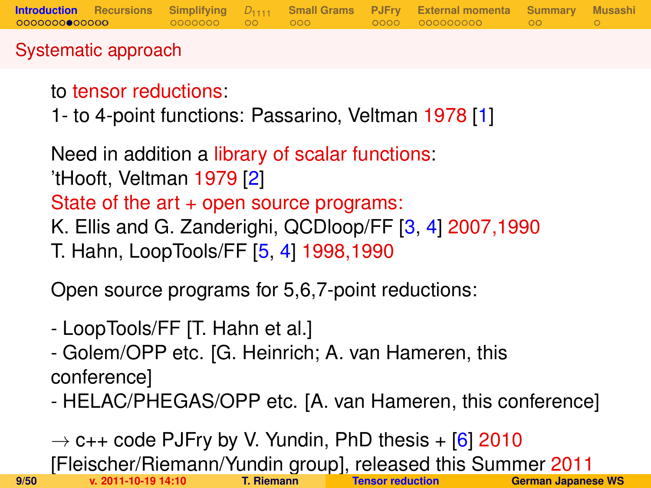## Systematic approach

# to tensor reductions:

1- to 4-point functions: Passarino, Veltman 1978 [\[1\]](#page-47-0)

Need in addition a library of scalar functions: 'tHooft, Veltman 1979 [\[2\]](#page-47-1) State of the art + open source programs: K. Ellis and G. Zanderighi, QCDloop/FF [\[3,](#page-47-2) [4\]](#page-47-3) 2007,1990 T. Hahn, LoopTools/FF [\[5,](#page-47-4) [4\]](#page-47-3) 1998,1990

Open source programs for 5,6,7-point reductions:

- LoopTools/FF [T. Hahn et al.]
- Golem/OPP etc. [G. Heinrich; A. van Hameren, this conference]
- HELAC/PHEGAS/OPP etc. [A. van Hameren, this conference]

 $\rightarrow$  c++ code PJFry by V. Yundin, PhD thesis + [\[6\]](#page-47-5) 2010 [Fleischer/Riemann/Yundin group], released this Summer 2011 **9/50 v. 2011-10-19 14:10 T. Riemann [Tensor reduction](#page-0-0) German Japanese WS**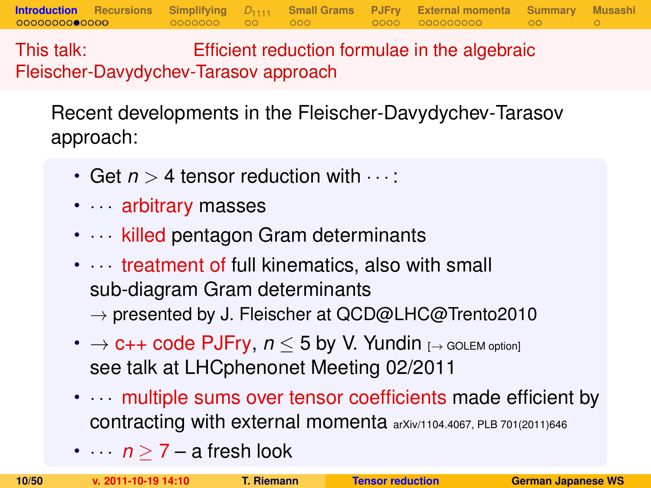This talk: Efficient reduction formulae in the algebraic Fleischer-Davydychev-Tarasov approach

Recent developments in the Fleischer-Davydychev-Tarasov approach:

**[Introduction](#page-1-0) [Recursions](#page-16-0) [Simplifying](#page-18-0)** *D*[1111](#page-25-0) **[Small Grams](#page-27-0) [PJFry](#page-30-0) [External momenta](#page-35-0) [Summary](#page-46-0) [Musashi](#page-49-0)**

- Get  $n > 4$  tensor reduction with  $\cdots$ :
- · · · arbitrary masses
- $\cdots$  killed pentagon Gram determinants
- $\cdots$  treatment of full kinematics, also with small sub-diagram Gram determinants  $\rightarrow$  presented by J. Fleischer at QCD@LHC@Trento2010
- $\rightarrow$  **c++ code PJFry,**  $n \leq 5$  **by V. Yundin** [ $\rightarrow$  GOLEM option] see talk at LHCphenonet Meeting 02/2011
- $\cdots$  multiple sums over tensor coefficients made efficient by contracting with external momenta arXiv/1104.4067, PLB 701(2011)646
- $\cdots$  *n*  $\geq$  7 a fresh look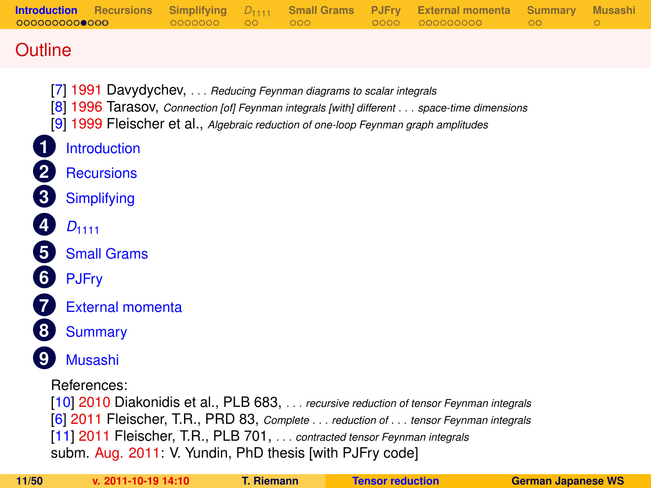## **Outline**

- [\[7\]](#page-47-6) 1991 Davydychev, . . . *Reducing Feynman diagrams to scalar integrals*
- [\[8\]](#page-47-7) 1996 Tarasov, *Connection [of] Feynman integrals [with] different* . . . *space-time dimensions*
- [\[9\]](#page-47-8) 1999 Fleischer et al., *Algebraic reduction of one-loop Feynman graph amplitudes*
- **1** [Introduction](#page-1-0)
- **2** [Recursions](#page-16-0)
- **3** [Simplifying](#page-18-0)
- **4** *D*[1111](#page-25-0)
- **5** [Small Grams](#page-27-0)
- **6** [PJFry](#page-30-0)
	- **7** [External momenta](#page-35-0)
- **8** [Summary](#page-46-0)
- **9** [Musashi](#page-49-0)
	- References:

[\[10\]](#page-48-0) 2010 Diakonidis et al., PLB 683, . . . *recursive reduction of tensor Feynman integrals* [\[6\]](#page-47-5) 2011 Fleischer, T.R., PRD 83, *Complete* . . . *reduction of* . . . *tensor Feynman integrals* [\[11\]](#page-48-1) 2011 Fleischer, T.R., PLB 701, . . . *contracted tensor Feynman integrals* subm. Aug. 2011: V. Yundin, PhD thesis [with PJFry code]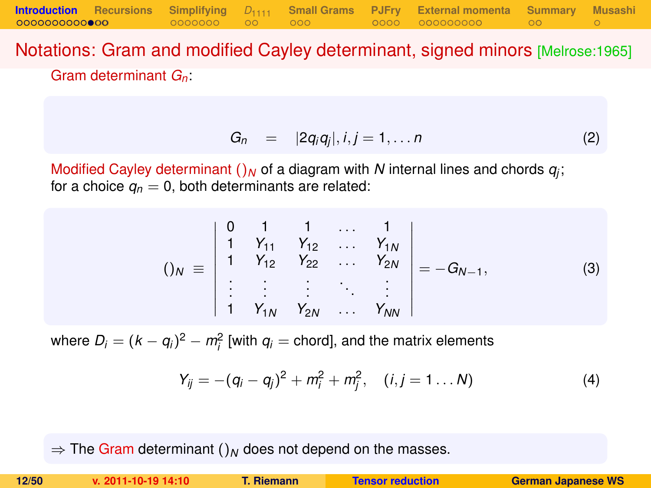Notations: Gram and modified Cayley determinant, signed minors [Melrose:1965] Gram determinant *Gn*:

$$
G_n = |2q_iq_j|, i,j = 1,\ldots n \qquad (2)
$$

Modified Cayley determinant  $()_N$  of a diagram with  $N$  internal lines and chords  $q_j$ ; for a choice  $q_n = 0$ , both determinants are related:

$$
()_{N} \equiv \begin{vmatrix} 0 & 1 & 1 & \dots & 1 \\ 1 & Y_{11} & Y_{12} & \dots & Y_{1N} \\ 1 & Y_{12} & Y_{22} & \dots & Y_{2N} \\ \vdots & \vdots & \vdots & \ddots & \vdots \\ 1 & Y_{1N} & Y_{2N} & \dots & Y_{NN} \end{vmatrix} = -G_{N-1},
$$
 (3)

where  $D_i = (k - q_i)^2 - m_i^2$  [with  $q_i$  = chord], and the matrix elements

$$
Y_{ij} = -(q_i - q_j)^2 + m_i^2 + m_j^2, \quad (i, j = 1 \dots N)
$$
 (4)

 $\Rightarrow$  The Gram determinant ()<sub>N</sub> does not depend on the masses.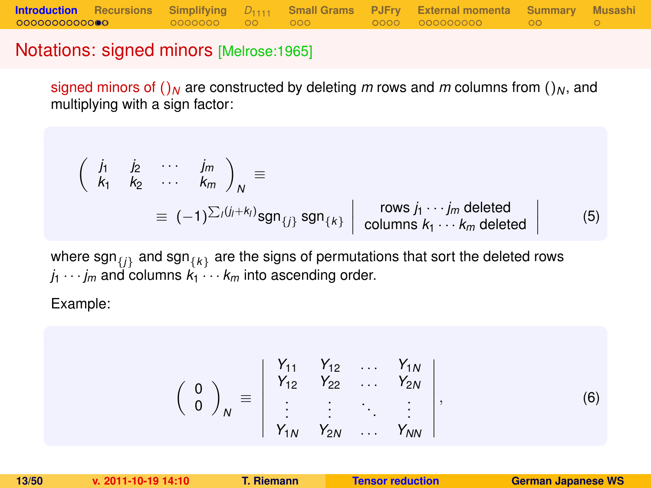### Notations: signed minors [Melrose:1965]

signed minors of  $\int_M$  are constructed by deleting *m* rows and *m* columns from  $\int_M$ , and multiplying with a sign factor:

$$
\begin{pmatrix}\n\dot{J}_1 & \dot{J}_2 & \cdots & \dot{J}_m \\
k_1 & k_2 & \cdots & k_m\n\end{pmatrix}_N \equiv
$$
\n
$$
\equiv (-1)^{\sum_i (j_i + k_i)} \text{sgn}_{\{j\}} \text{sgn}_{\{k\}} \begin{vmatrix}\n\text{rows } j_1 \cdots j_m \text{ deleted} \\
\text{columns } k_1 \cdots k_m \text{ deleted}\n\end{vmatrix}
$$
\n(5)

where  $\mathsf{sgn}_{\{j\}}$  and  $\mathsf{sgn}_{\{k\}}$  are the signs of permutations that sort the deleted rows  $j_1 \cdots j_m$  and columns  $k_1 \cdots k_m$  into ascending order.

Example:

$$
\left(\begin{array}{c}0\\0\end{array}\right)_N\equiv\left|\begin{array}{cccc}Y_{11}&Y_{12}&\ldots&Y_{1N}\\Y_{12}&Y_{22}&\ldots&Y_{2N}\\ \vdots&\vdots&\ddots&\vdots\\Y_{1N}&Y_{2N}&\ldots&Y_{NN}\end{array}\right|,\tag{6}
$$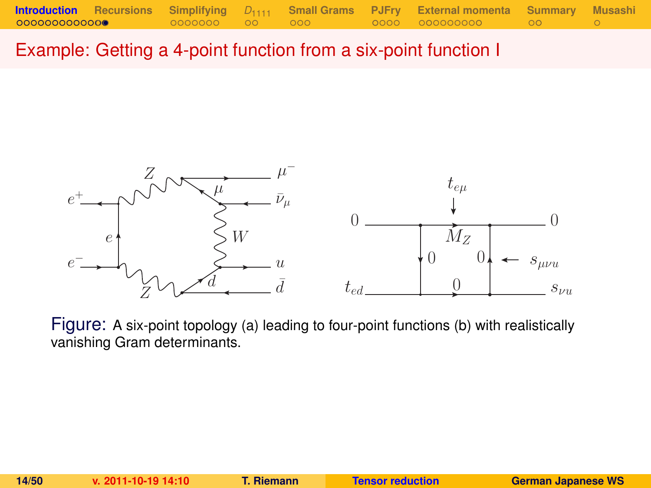Example: Getting a 4-point function from a six-point function I



Figure: A six-point topology (a) leading to four-point functions (b) with realistically vanishing Gram determinants.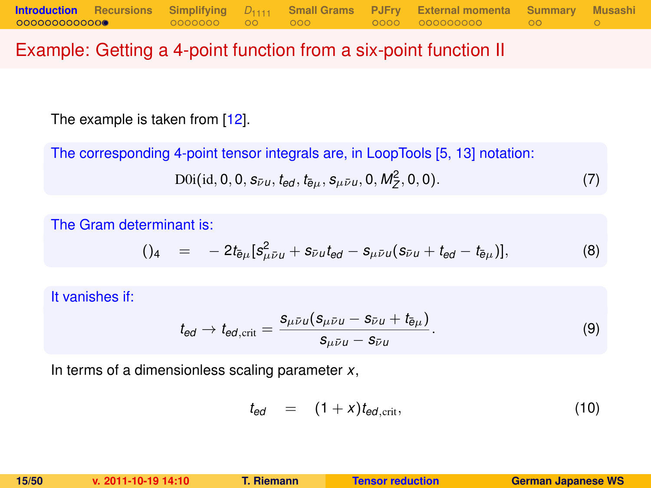## Example: Getting a 4-point function from a six-point function II

The example is taken from [\[12\]](#page-48-2).

The corresponding 4-point tensor integrals are, in LoopTools [\[5,](#page-47-4) [13\]](#page-48-3) notation:

$$
D0i(id, 0, 0, s_{\bar{\nu}u}, t_{ed}, t_{\bar{e}\mu}, s_{\mu\bar{\nu}u}, 0, M_Z^2, 0, 0).
$$
 (7)

The Gram determinant is:

$$
()_{4} = -2t_{\bar{e}\mu}[s_{\mu\bar{\nu}\mu}^{2} + s_{\bar{\nu}\mu}t_{\theta d} - s_{\mu\bar{\nu}\mu}(s_{\bar{\nu}\mu} + t_{\theta d} - t_{\bar{e}\mu})], \qquad (8)
$$

It vanishes if:

$$
t_{\text{ed}} \to t_{\text{ed,crit}} = \frac{s_{\mu\bar{\nu}\mu}(s_{\mu\bar{\nu}\mu} - s_{\bar{\nu}\mu} + t_{\bar{\theta}\mu})}{s_{\mu\bar{\nu}\mu} - s_{\bar{\nu}\mu}}.
$$
(9)

In terms of a dimensionless scaling parameter *x*,

$$
t_{ed} = (1+x)t_{ed,\text{crit}}, \qquad (10)
$$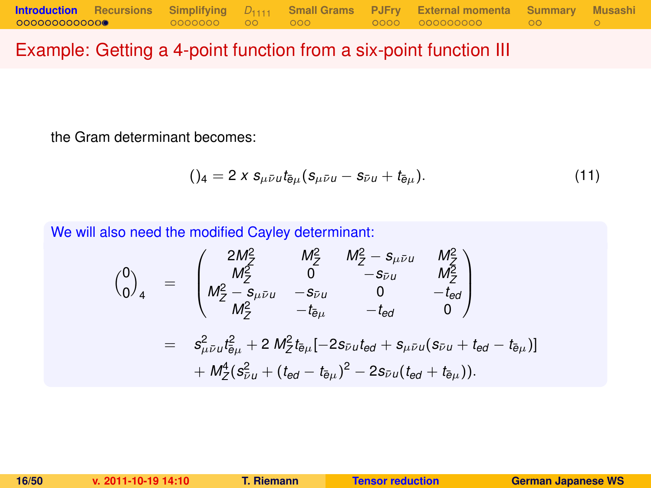## Example: Getting a 4-point function from a six-point function III

the Gram determinant becomes:

$$
()_{4} = 2 \times s_{\mu \bar{\nu} u} t_{\bar{e}\mu} (s_{\mu \bar{\nu} u} - s_{\bar{\nu} u} + t_{\bar{e}\mu}). \tag{11}
$$

We will also need the modified Cayley determinant:

$$
\begin{array}{rcl}\n\binom{0}{0}_4 & = & \begin{pmatrix}\n2M_Z^2 & M_Z^2 & M_Z^2 - s_{\mu\bar{\nu}u} & M_Z^2 \\
M_Z^2 & 0 & -s_{\bar{\nu}u} & M_Z^2 \\
M_Z^2 - s_{\mu\bar{\nu}u} & -s_{\bar{\nu}u} & 0 & -t_{\bar{e}d} \\
M_Z^2 & -t_{\bar{e}\mu} & -t_{\bar{e}d} & 0\n\end{pmatrix} \\
& = & s_{\mu\bar{\nu}u}^2 t_{\bar{e}\mu}^2 + 2 M_Z^2 t_{\bar{e}\mu} [-2s_{\bar{\nu}u}t_{\bar{e}d} + s_{\mu\bar{\nu}u}(s_{\bar{\nu}u} + t_{\bar{e}d} - t_{\bar{e}\mu})] \\
& + M_Z^4 (s_{\bar{\nu}u}^2 + (t_{\bar{e}d} - t_{\bar{e}\mu})^2 - 2s_{\bar{\nu}u}(t_{\bar{e}d} + t_{\bar{e}\mu})).\n\end{array}
$$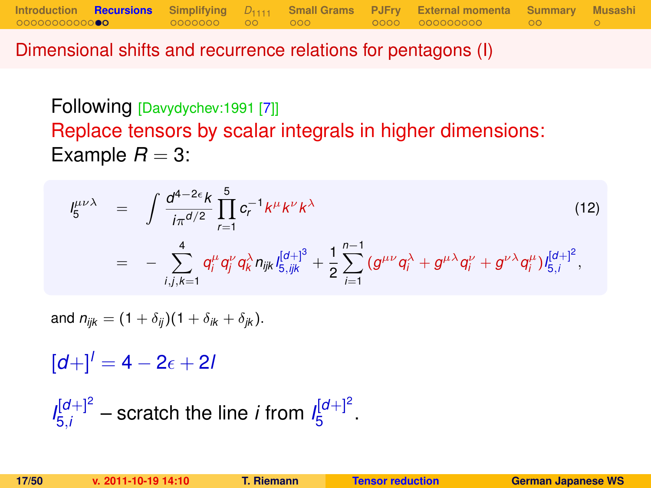Dimensional shifts and recurrence relations for pentagons (I)

Following [Davydychev:1991 [\[7\]](#page-47-6)] Replace tensors by scalar integrals in higher dimensions: Example  $R = 3$ :

**[Introduction](#page-1-0) [Recursions](#page-16-0) [Simplifying](#page-18-0)** *D*[1111](#page-25-0) **[Small Grams](#page-27-0) [PJFry](#page-30-0) [External momenta](#page-35-0) [Summary](#page-46-0) [Musashi](#page-49-0)**

$$
I_{5}^{\mu\nu\lambda} = \int \frac{d^{4-2\epsilon}k}{i\pi^{d/2}} \prod_{r=1}^{5} c_{r}^{-1}k^{\mu}k^{\nu}k^{\lambda}
$$
\n
$$
= - \sum_{i,j,k=1}^{4} q_{i}^{\mu} q_{j}^{\nu} q_{k}^{\lambda} n_{ijk} I_{5,ijk}^{[d+]} + \frac{1}{2} \sum_{i=1}^{n-1} (g^{\mu\nu} q_{i}^{\lambda} + g^{\mu\lambda} q_{i}^{\nu} + g^{\nu\lambda} q_{i}^{\mu}) I_{5,i}^{[d+]}^{2},
$$
\n(12)

and  $n_{ijk} = (1 + \delta_{ij})(1 + \delta_{ik} + \delta_{ik}).$ 

 $[d+1]$ <sup>*l*</sup> = 4 – 2<sub> $\epsilon$ </sub> + 2*l* 

<span id="page-16-0"></span> $I_{5i}^{[d+]2}$  $\frac{d[d+1]^2}{5i}$  – scratch the line *i* from  $I_5^{[d+1]^2}$ י<sup>וט</sup>⊤י<br>5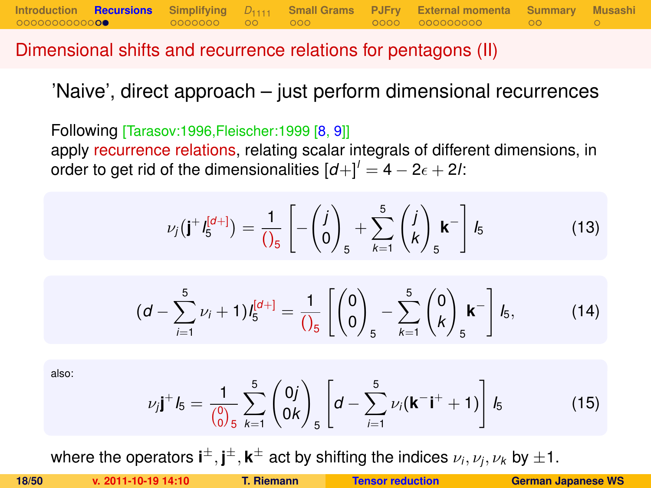Dimensional shifts and recurrence relations for pentagons (II)

'Naive', direct approach – just perform dimensional recurrences

**[Introduction](#page-1-0) [Recursions](#page-16-0) [Simplifying](#page-18-0)** *D*[1111](#page-25-0) **[Small Grams](#page-27-0) [PJFry](#page-30-0) [External momenta](#page-35-0) [Summary](#page-46-0) [Musashi](#page-49-0)**

Following [Tarasov:1996,Fleischer:1999 [\[8,](#page-47-7) [9\]](#page-47-8)] apply recurrence relations, relating scalar integrals of different dimensions, in order to get rid of the dimensionalities  $\left[d + \right]^{l} = 4 - 2\epsilon + 2l$ .

$$
\nu_j(\mathbf{j}^+I_5^{[d+]} ) = \frac{1}{\left(\int_5^1 \left[ -\left(\begin{matrix} j \\ 0 \end{matrix}\right)_5 + \sum_{k=1}^5 \left(\begin{matrix} j \\ k \end{matrix}\right)_5 \mathbf{k}^- \right] I_5
$$
 (13)

<span id="page-17-0"></span>
$$
(d - \sum_{i=1}^{5} \nu_i + 1) I_5^{[d+]} = \frac{1}{\left(\begin{matrix} 0 \\ 0 \end{matrix}\right)_5} - \sum_{k=1}^{5} \left(\begin{matrix} 0 \\ k \end{matrix}\right)_5 \mathbf{k}^{-} \right] I_5, \tag{14}
$$

also:

$$
\nu_j \mathbf{j}^+ \mathbf{l}_5 = \frac{1}{\binom{0}{0.5}} \sum_{k=1}^5 \binom{0j}{0k} \left[ d - \sum_{i=1}^5 \nu_i (\mathbf{k}^- \mathbf{i}^+ + 1) \right] \mathbf{l}_5 \tag{15}
$$

where the operators  $\textbf{i}^{\pm}, \textbf{j}^{\pm}, \textbf{k}^{\pm}$  act by shifting the indices  $\nu_i, \nu_j, \nu_k$  by  $\pm 1.$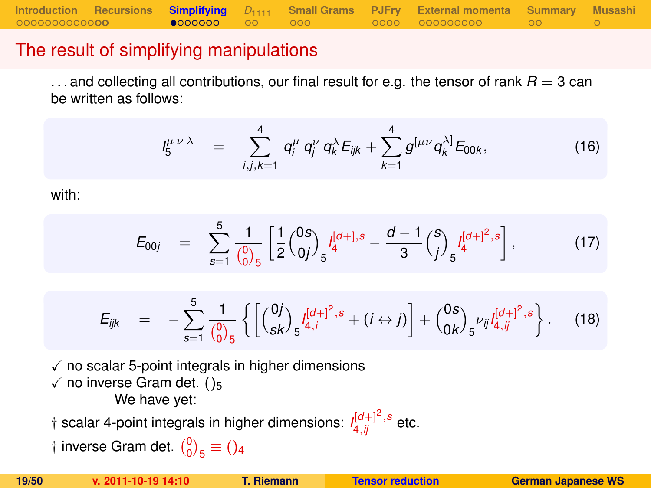### The result of simplifying manipulations

 $\dots$  and collecting all contributions, our final result for e.g. the tensor of rank  $R = 3$  can be written as follows:

$$
I_5^{\mu\nu\lambda} = \sum_{i,j,k=1}^4 q_i^{\mu} q_j^{\nu} q_k^{\lambda} E_{ijk} + \sum_{k=1}^4 g^{[\mu\nu} q_k^{\lambda]} E_{00k}, \qquad (16)
$$

with:

$$
E_{00j} = \sum_{s=1}^{5} \frac{1}{\binom{0}{0.5}} \left[ \frac{1}{2} \binom{0s}{0j} \int_{5}^{[d+],s} -\frac{d-1}{3} \binom{s}{j} \int_{5}^{[d+]^2,s} \right],
$$
(17)

<span id="page-18-0"></span>
$$
E_{ijk} = -\sum_{s=1}^{5} \frac{1}{\binom{0}{0}} \left\{ \left[ \binom{0j}{sk} \frac{I^{[d]+1]^2,s}}{S^{4,j}} + (i \leftrightarrow j) \right] + \binom{0s}{0k} \frac{I^{[d]+1]^2,s}}{S^{ij}} \right\}.
$$
 (18)

 $\sqrt{\ }$  no scalar 5-point integrals in higher dimensions  $\checkmark$  no inverse Gram det. ()<sub>5</sub> We have yet:

 $\dagger$  scalar 4-point integrals in higher dimensions:  $\iint_{4,ij}^{[d+]} \int_{-s}^{2}$  etc.

† inverse Gram det.  $\binom{0}{0}_5 \equiv$  ()<sub>4</sub>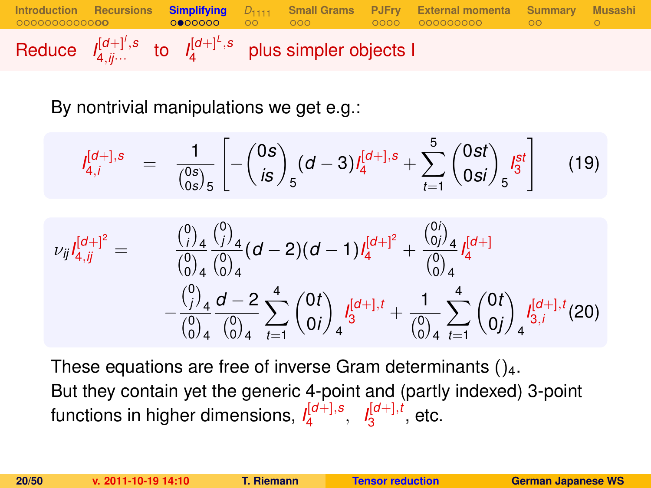**[Introduction](#page-1-0) [Recursions](#page-16-0) [Simplifying](#page-18-0)** *D*[1111](#page-25-0) **[Small Grams](#page-27-0) [PJFry](#page-30-0) [External momenta](#page-35-0) [Summary](#page-46-0) [Musashi](#page-49-0)** Reduce  $I_{4,j}^{[d+]',s}$  $I_4^{[d+]'}$ , s to  $I_4^{[d+]^L}$ , s  $4^{10+1}$ <sup>3</sup> plus simpler objects I

By nontrivial manipulations we get e.g.:

$$
I_{4,i}^{[d+],s} = \frac{1}{\binom{0s}{0s}_5} \left[ -\binom{0s}{is}_5 (d-3) I_4^{[d+],s} + \sum_{t=1}^5 \binom{0st}{0si}_5 I_3^{st} \right]
$$
(19)

$$
\nu_{ij}I_{4,jj}^{[d+]} = \frac{\binom{0}{i}_4 \binom{0}{j}_4}{\binom{0}{0}_4 \binom{0}{0}_4} (d-2)(d-1)I_4^{[d+]} + \frac{\binom{0}{0j}_4}{\binom{0}{0}_4} I_4^{[d+]} + \frac{\binom{0}{0j}_4}{\binom{0}{0}_4} I_4^{[d+]} + \frac{\binom{0}{j}_4}{\binom{0}{0}_4 \binom{0}{0}_4} I_4^{[d+]} + \frac{\binom{0}{0j}_4 \binom{0}{0}_4}{\binom{0}{0}_4 \binom{0}{0}_4} I_4^{[d+]} + \frac{1}{\binom{0}{0}_4} \sum_{t=1}^4 \binom{0}{t}_1 I_{4,j}^{[d+]} (20)
$$

These equations are free of inverse Gram determinants  $()_4$ . But they contain yet the generic 4-point and (partly indexed) 3-point functions in higher dimensions, *I* [*d*+],*s* 4 , *I* [*d*+],*t*  $\frac{1}{3}^{\left[0\pm1\right],i}$ , etc.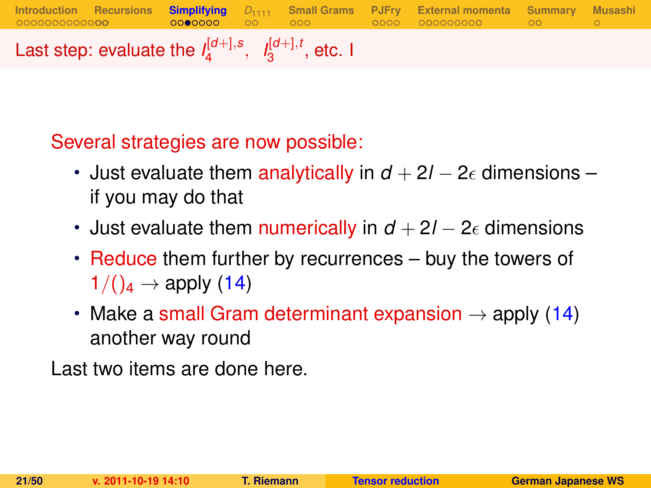**[Introduction](#page-1-0) [Recursions](#page-16-0) [Simplifying](#page-18-0)** *D*[1111](#page-25-0) **[Small Grams](#page-27-0) [PJFry](#page-30-0) [External momenta](#page-35-0) [Summary](#page-46-0) [Musashi](#page-49-0)** Last step: evaluate the  $I_4^{[d+1,s]}$  $I_4^{[d+]}, s, I_3^{[d+]}, t$  $_3^{\mathsf{I}^{\mathsf{U}+\mathsf{J}},\mathsf{t}}$ , etc. I

Several strategies are now possible:

- Just evaluate them analytically in  $d + 2l 2\epsilon$  dimensions if you may do that
- Just evaluate them numerically in  $d + 2l 2\epsilon$  dimensions
- Reduce them further by recurrences buy the towers of  $1/(\mathcal{C}_4 \rightarrow$  apply [\(14\)](#page-17-0)
- Make a small Gram determinant expansion  $\rightarrow$  apply [\(14\)](#page-17-0) another way round

Last two items are done here.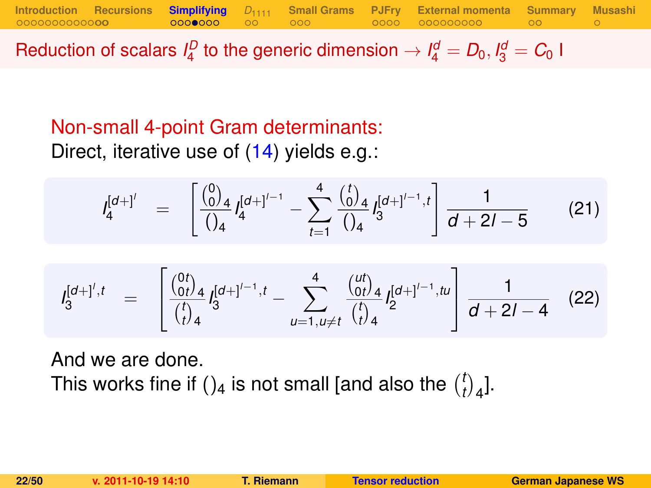Reduction of scalars  $I_4^D$  to the generic dimension  $\rightarrow I_4^d = D_0, I_3^d = C_0$  I

**[Introduction](#page-1-0) [Recursions](#page-16-0) [Simplifying](#page-18-0)** *D*[1111](#page-25-0) **[Small Grams](#page-27-0) [PJFry](#page-30-0) [External momenta](#page-35-0) [Summary](#page-46-0) [Musashi](#page-49-0)**

# Non-small 4-point Gram determinants: Direct, iterative use of [\(14\)](#page-17-0) yields e.g.:

$$
I_4^{[d+1']} = \left[ \frac{\binom{0}{0}_4}{\binom{1}{4}} I_4^{[d+1]-1} - \sum_{t=1}^4 \frac{\binom{t}{0}_4}{\binom{1}{4}} I_3^{[d+1]-1, t} \right] \frac{1}{d+2l-5}
$$
(21)

$$
I_3^{[d+]',t} = \begin{bmatrix} \frac{\binom{0t}{0t}}{t} & 1 & \cdots & \cdots & \cdots & \cdots & \cdots & \cdots & \cdots & \cdots & \cdots & \cdots & \cdots & \cdots & \cdots & \cdots & \cdots & \cdots & \cdots & \cdots & \cdots & \cdots & \cdots & \cdots & \cdots & \cdots & \cdots & \cdots & \cdots & \cdots & \cdots & \cdots & \cdots & \cdots & \cdots & \cdots & \cdots & \cdots & \cdots & \cdots & \cdots & \cdots & \cdots & \cdots & \cdots & \cdots & \cdots & \cdots & \cdots & \cdots & \cdots & \cdots & \cdots & \cdots & \cdots & \cdots & \cdots & \cdots & \cdots & \cdots & \cdots & \cdots & \cdots & \cdots & \cdots & \cdots & \cdots & \cdots & \cdots & \cdots & \cdots & \cdots & \cdots & \cdots & \cdots & \cdots & \cdots & \cdots & \cdots & \cdots & \cdots & \cdots & \cdots & \cdots & \cdots & \cdots & \cdots & \cdots & \cdots & \cdots & \cdots & \cdots & \cdots & \cdots & \cdots & \cdots & \cdots & \cdots & \cdots & \cdots & \cdots & \cdots & \cdots & \cdots & \cdots & \cdots & \cdots & \cdots & \cdots & \cdots & \cdots & \cdots & \cdots & \cdots & \cdots & \cdots & \cdots & \cdots & \cdots & \cdots & \cdots & \cdots &
$$

And we are done. This works fine if ()<sub>4</sub> is not small [and also the  $\binom{l}{l}$  $\binom{t}{t}$ <sub>4</sub>].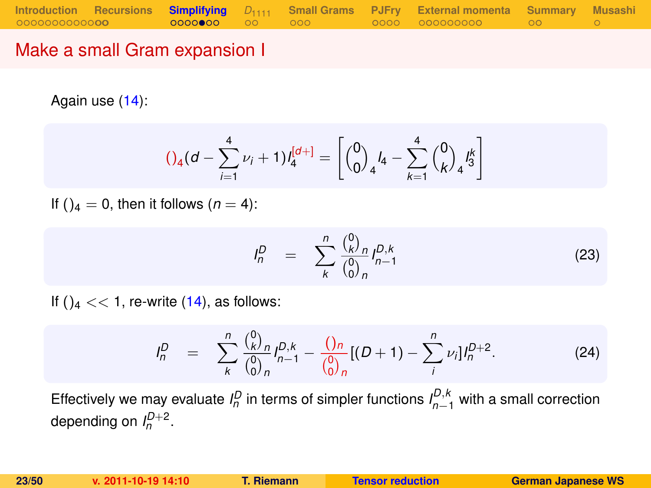### Make a small Gram expansion I

Again use [\(14\)](#page-17-0):

<span id="page-22-1"></span>
$$
()_{4}(d - \sum_{i=1}^{4} \nu_{i} + 1)l_{4}^{[d+]} = \left[{0 \choose 0}_{4}l_{4} - \sum_{k=1}^{4} {0 \choose k}_{4}l_{3}^{k} \right]
$$

If ( $a = 0$ , then it follows ( $n = 4$ ):

$$
I_n^D = \sum_{k}^{n} \frac{\binom{0}{k}^D n}{\binom{0}{0}^n n} I_{n-1}^{D,k}
$$
 (23)

If () $_4$  < < 1, re-write [\(14\)](#page-17-0), as follows:

<span id="page-22-0"></span>
$$
I_n^D = \sum_{k}^{n} \frac{\binom{0}{k} n}{\binom{0}{0} n} I_{n-1}^{D,k} - \frac{\binom{0}{n} n}{\binom{0}{0} n} [(D+1) - \sum_{i}^{n} \nu_i] I_n^{D+2}.
$$
 (24)

Effectively we may evaluate  $I_n^D$  in terms of simpler functions  $I_{n-1}^{D,k}$  with a small correction depending on  $I_n^{D+2}$ .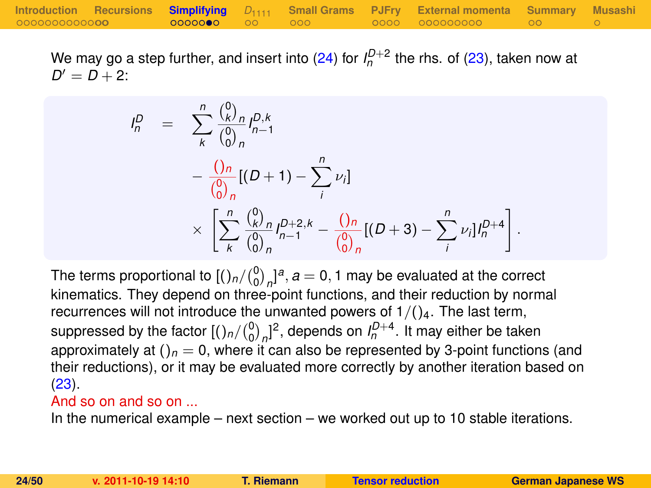We may go a step further, and insert into [\(24\)](#page-22-0) for  $I_n^{D+2}$  the rhs. of [\(23\)](#page-22-1), taken now at  $D' = D + 2$ :

$$
I_n^D = \sum_{k}^{n} \frac{\binom{0}{k}^n}{\binom{0}{0}^n} I_{n-1}^{D,k}
$$
  
- 
$$
\frac{\binom{0}{0}^n}{\binom{0}{0}^n} [(D+1) - \sum_{i}^{n} \nu_i]
$$
  

$$
\times \left[ \sum_{k}^{n} \frac{\binom{0}{k}^n}{\binom{0}{0}^n} I_{n-1}^{D+2,k} - \frac{\binom{0}{0}^n}{\binom{0}{0}^n} [(D+3) - \sum_{i}^{n} \nu_i] I_n^{D+4} \right]
$$

The terms proportional to  $\left[\binom{0}{0}_n\right]^{a}$ ,  $a=0,1$  may be evaluated at the correct kinematics. They depend on three-point functions, and their reduction by normal recurrences will not introduce the unwanted powers of  $1/(\frac{1}{4}$ . The last term, suppressed by the factor  $[(\binom{n}{0}_n)^2]$ , depends on  $I_n^{D+4}$ . It may either be taken approximately at  $()_n = 0$ , where it can also be represented by 3-point functions (and their reductions), or it may be evaluated more correctly by another iteration based on [\(23\)](#page-22-1).

#### And so on and so on ...

In the numerical example – next section – we worked out up to 10 stable iterations.

.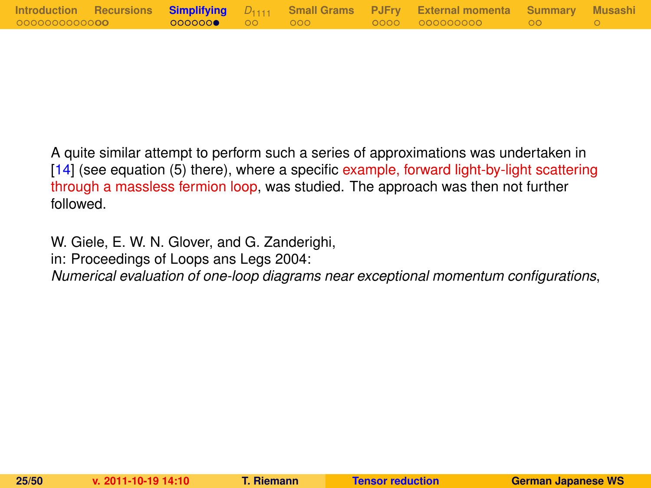|                       |                 |  | Introduction Recursions Simplifying $D_{1111}$ Small-Grams PJFry External-momenta Summary Musashi |  |
|-----------------------|-----------------|--|---------------------------------------------------------------------------------------------------|--|
| 00000000000 <b>00</b> | 0000000● 00 000 |  |                                                                                                   |  |

A quite similar attempt to perform such a series of approximations was undertaken in [\[14\]](#page-48-4) (see equation (5) there), where a specific example, forward light-by-light scattering through a massless fermion loop, was studied. The approach was then not further followed.

W. Giele, E. W. N. Glover, and G. Zanderighi,

in: Proceedings of Loops ans Legs 2004:

*Numerical evaluation of one-loop diagrams near exceptional momentum configurations*,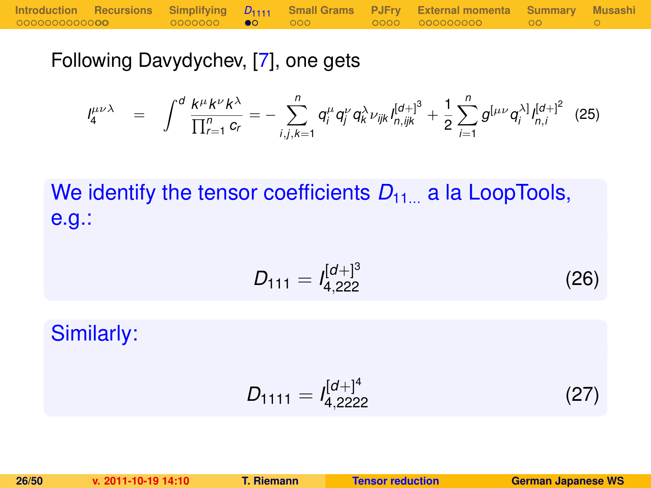Following Davydychev, [\[7\]](#page-47-6), one gets

$$
I_4^{\mu\nu\lambda} = \int_0^d \frac{k^{\mu} k^{\nu} k^{\lambda}}{\prod_{r=1}^n c_r} = - \sum_{i,j,k=1}^n q_i^{\mu} q_j^{\nu} q_k^{\lambda} \nu_{ijk} I_{n,ijk}^{[d+]^3} + \frac{1}{2} \sum_{i=1}^n g^{[\mu\nu} q_i^{\lambda]} I_{n,i}^{[d+]^2}
$$
 (25)

We identify the tensor coefficients  $D_{11}$  a la LoopTools, e.g.:

$$
D_{111} = I_{4,222}^{[d+]^{3}}
$$
 (26)

Similarly:

<span id="page-25-0"></span>
$$
D_{1111} = I_{4,2222}^{[d+]^4}
$$
 (27)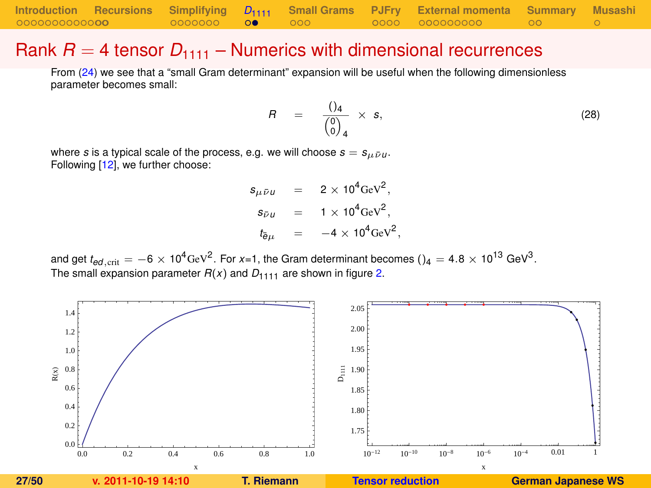### Rank  $R = 4$  tensor  $D_{1111}$  – Numerics with dimensional recurrences

From [\(24\)](#page-22-0) we see that a "small Gram determinant" expansion will be useful when the following dimensionless parameter becomes small:

<span id="page-26-2"></span>
$$
R = \frac{()_4}{\begin{pmatrix} 0 \\ 0 \end{pmatrix}_4} \times s, \tag{28}
$$

where *s* is a typical scale of the process, e.g. we will choose  $s = s_{\mu \bar{\nu} \mu}$ . Following [\[12\]](#page-48-2), we further choose:

> <span id="page-26-0"></span> $s_{\mu\bar{\nu}\mu}$  = 2 × 10<sup>4</sup>GeV<sup>2</sup>,  $s_{\bar{\nu}u}$  = 1 × 10<sup>4</sup>GeV<sup>2</sup>,  $t_{\bar{e}\mu}$  =  $-4 \times 10^4 \text{GeV}^2$ ,

and get  $t_{ed,\rm crit}=-6\times10^4$ GeV $^2$ . For *x*=1, the Gram determinant becomes () $_4=$  4.8  $\times$  10 $^{13}$  GeV $^3$ . The small expansion parameter  $R(x)$  and  $D_{1,111}$  are shown in figure [2.](#page-26-1)

<span id="page-26-1"></span>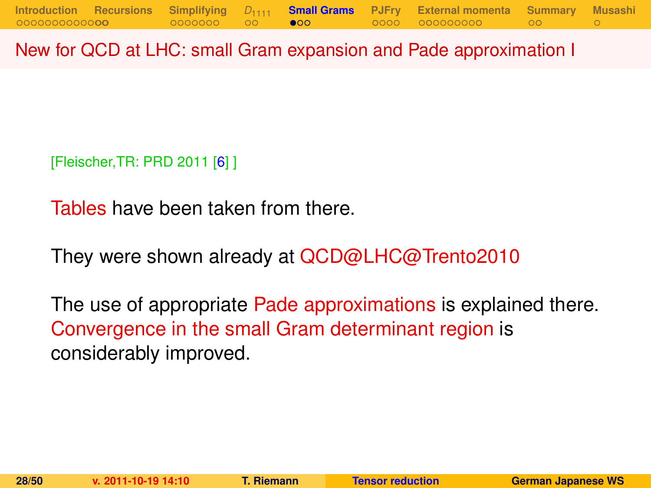New for QCD at LHC: small Gram expansion and Pade approximation I

[Fleischer,TR: PRD 2011 [\[6\]](#page-47-5) ]

Tables have been taken from there.

They were shown already at QCD@LHC@Trento2010

<span id="page-27-0"></span>The use of appropriate Pade approximations is explained there. Convergence in the small Gram determinant region is considerably improved.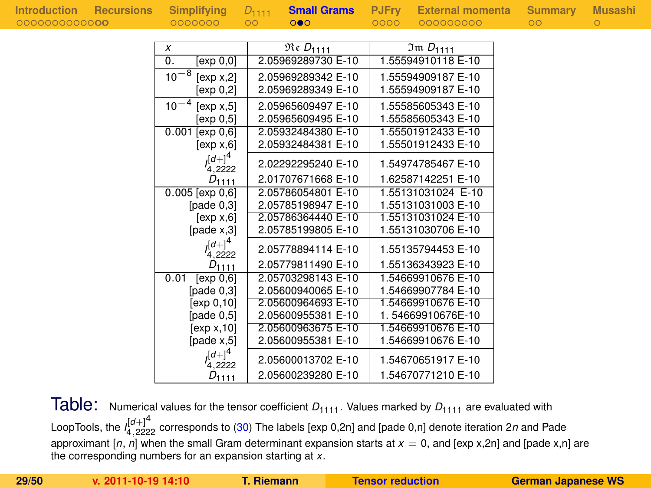| X                       | $\overline{\mathfrak{Re}}$ $D_{1111}$ | $\overline{3}$ m $D_{1111}$ |
|-------------------------|---------------------------------------|-----------------------------|
| 0.<br>[exp 0,0]         | 2.05969289730 E-10                    | 1.55594910118 E-10          |
| $10^{-8}$<br>[exp x, 2] | 2.05969289342 E-10                    | 1.55594909187 E-10          |
| [exp 0,2]               | 2.05969289349 E-10                    | 1.55594909187 E-10          |
| $10^{-4}$<br>[exp x, 5] | 2.05965609497 E-10                    | 1.55585605343 E-10          |
| [exp 0,5]               | 2.05965609495 E-10                    | 1.55585605343 E-10          |
| [exp 0, 6]<br>0.001     | 2.05932484380 E-10                    | 1.55501912433 E-10          |
| [exp x, 6]              | 2.05932484381 E-10                    | 1.55501912433 E-10          |
| $I^{[d+]}^4$<br>4.2222  | 2.02292295240 E-10                    | 1.54974785467 E-10          |
| $D_{1111}$              | 2.01707671668 E-10                    | 1.62587142251 E-10          |
| $0.005$ [exp $0,6$ ]    | 2.05786054801 E-10                    | 1.55131031024 E-10          |
| [pade $0,3$ ]           | 2.05785198947 E-10                    | 1.55131031003 E-10          |
| [exp x, 6]              | 2.05786364440 E-10                    | 1.55131031024 E-10          |
| [page x, 3]             | 2.05785199805 E-10                    | 1.55131030706 E-10          |
| $([d+]^{4}$<br>4.2222   | 2.05778894114 E-10                    | 1.55135794453 E-10          |
| $D_{1111}$              | 2.05779811490 E-10                    | 1.55136343923 E-10          |
| 0.01<br>[exp 0,6]       | 2.05703298143 E-10                    | 1.54669910676 E-10          |
| [pade $0,3$ ]           | 2.05600940065 E-10                    | 1.54669907784 E-10          |
| [exp 0,10]              | 2.05600964693 E-10                    | 1.54669910676 E-10          |
| [pade $0,5$ ]           | 2.05600955381 E-10                    | 1.54669910676E-10           |
| [exp x, 10]             | 2.05600963675 E-10                    | 1.54669910676 E-10          |
| [page x, 5]             | 2.05600955381 E-10                    | 1.54669910676 E-10          |
| $([d+]^{4}$<br>.2222    | 2.05600013702 E-10                    | 1.54670651917 E-10          |
| $D_{1111}$              | 2.05600239280 E-10                    | 1.54670771210 E-10          |

Table: Numerical values for the tensor coefficient  $D_{1111}$ . Values marked by  $D_{1111}$  are evaluated with LoopTools, the *I* [*d*+]4 <sup>4</sup>,<sup>2222</sup> corresponds to [\(30\)](#page-36-0) The labels [exp 0,2n] and [pade 0,n] denote iteration 2*n* and Pade approximant  $[n, n]$  when the small Gram determinant expansion starts at  $x = 0$ , and  $[exp x, 2n]$  and  $[pade x, n]$  are the corresponding numbers for an expansion starting at *x*.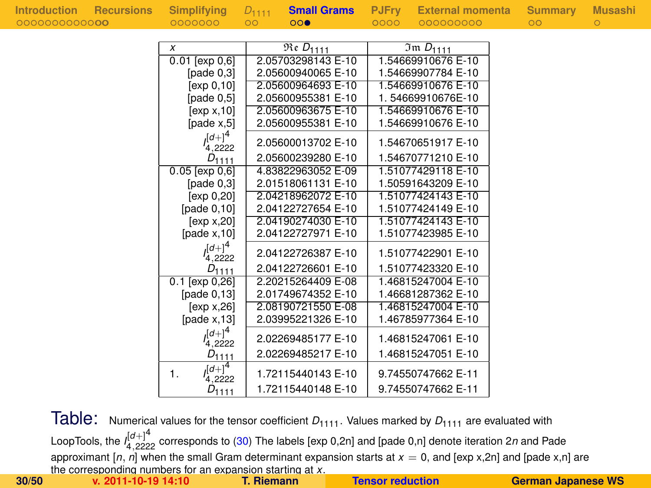| Introduction Recursions Simplifying $D_{1111}$<br>00000000000 <b>00</b> | 0000000             | $\circ$ | $\circ \circ \bullet$ | 0000 | <b>Small Grams</b> PJFrv External momenta Summary Musashi<br>000000000 | ററ |  |
|-------------------------------------------------------------------------|---------------------|---------|-----------------------|------|------------------------------------------------------------------------|----|--|
|                                                                         |                     |         | $Re D_{1111}$         |      | $Im D_{1111}$                                                          |    |  |
|                                                                         | $0.01$ [exp $0.6$ ] |         | 2.05703298143 E-10    |      | 1.54669910676 E-10                                                     |    |  |
|                                                                         | $[page\ 0.3]$       |         | 2.05600940065 E-10    |      | 1.54669907784 E-10                                                     |    |  |
|                                                                         | .                   |         | 0.05000001000510      |      | 1.5100010070570                                                        |    |  |

| [exp 0,10]                | 2.05600964693 E-10 | 1.54669910676 E-10 |
|---------------------------|--------------------|--------------------|
| [pade 0.5]                | 2.05600955381 E-10 | 1.54669910676E-10  |
| [exp x, 10]               | 2.05600963675 E-10 | 1.54669910676 E-10 |
| [page x.5]                | 2.05600955381 E-10 | 1.54669910676 E-10 |
| $(d+1)^4$<br>4,2222       | 2.05600013702 E-10 | 1.54670651917 E-10 |
| $D_{1111}$                | 2.05600239280 E-10 | 1.54670771210 E-10 |
| $0.05$ [exp $0,6$ ]       | 4.83822963052 E-09 | 1.51077429118 E-10 |
| [page 0.3]                | 2.01518061131 E-10 | 1.50591643209 E-10 |
| [exp 0,20]                | 2.04218962072 E-10 | 1.51077424143 E-10 |
| $[{\rm pad}e 0,10]$       | 2.04122727654 E-10 | 1.51077424149 E-10 |
| [ $exp x, 20$ ]           | 2.04190274030 E-10 | 1.51077424143 E-10 |
| [page x, 10]              | 2.04122727971 E-10 | 1.51077423985 E-10 |
| $(d+1)^4$<br>4,2222       | 2.04122726387 E-10 | 1.51077422901 E-10 |
| $D_{1111}$                | 2.04122726601 E-10 | 1.51077423320 E-10 |
| $0.1$ [exp $0,26$ ]       | 2.20215264409 E-08 | 1.46815247004 E-10 |
| [pade $0,13$ ]            | 2.01749674352 E-10 | 1.46681287362 E-10 |
| [exp x, 26]               | 2.08190721550 E-08 | 1.46815247004 E-10 |
| [pade $x$ , 13]           | 2.03995221326 E-10 | 1.46785977364 E-10 |
| $(d+1)^4$<br>4,2222       | 2.02269485177 E-10 | 1.46815247061 E-10 |
| $D_{1111}$                | 2.02269485217 E-10 | 1.46815247051 E-10 |
| $(d+1)^4$<br>1.<br>4,2222 | 1.72115440143 E-10 | 9.74550747662 E-11 |
| $D_{1111}$                | 1.72115440148 E-10 | 9.74550747662 E-11 |

Table: Numerical values for the tensor coefficient  $D_{1111}$ . Values marked by  $D_{1111}$  are evaluated with LoopTools, the *I* [*d*+]4 <sup>4</sup>,<sup>2222</sup> corresponds to [\(30\)](#page-36-0) The labels [exp 0,2n] and [pade 0,n] denote iteration 2*n* and Pade approximant [*n*, *n*] when the small Gram determinant expansion starts at *x* = 0, and [exp x,2n] and [pade x,n] are the corresponding numbers for an expansion starting at *x*. **30/50 v. 2011-10-19 14:10 T. Riemann [Tensor reduction](#page-0-0) German Japanese WS**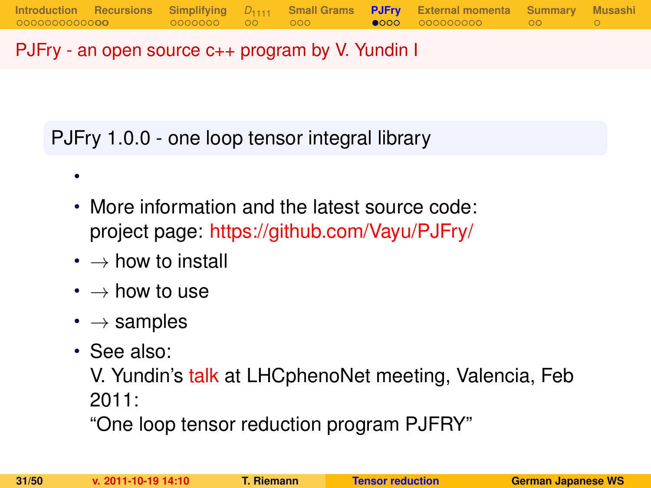## PJFry - an open source c++ program by V. Yundin I

PJFry 1.0.0 - one loop tensor integral library

- More information and the latest source code: project page: <https://github.com/Vayu/PJFry/>
- $\cdot \rightarrow$  how to install
- $\bm{\cdot} \rightarrow$  how to use
- $\cdot \rightarrow$  samples
- See also:

•

V. Yundin's [talk](http://indico.ific.uv.es/indico/contributionDisplay.py?contribId=25&sessionId=15&confId=339) at LHCphenoNet meeting, Valencia, Feb 2011:

<span id="page-30-0"></span>"One loop tensor reduction program PJFRY"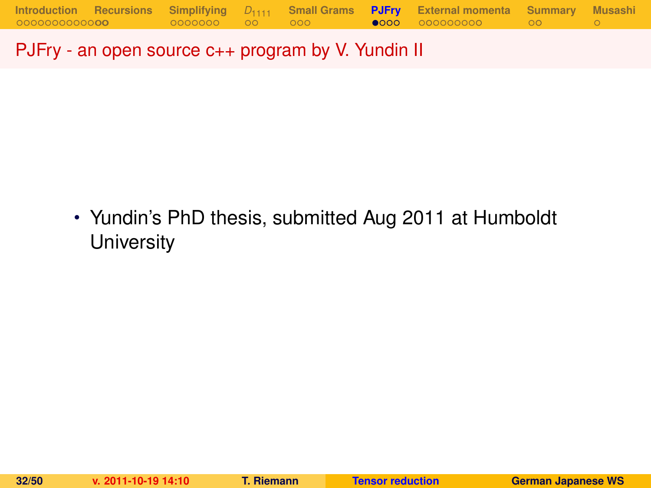PJFry - an open source c++ program by V. Yundin II

• Yundin's PhD thesis, submitted Aug 2011 at Humboldt **University**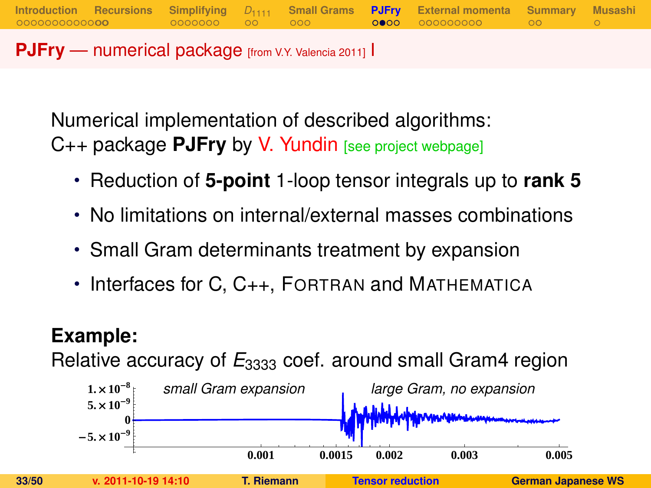**PJFry** — numerical package [from V.Y. Valencia 2011] I

Numerical implementation of described algorithms: C++ package **PJFry** by V. Yundin [see project webpage]

• Reduction of **5-point** 1-loop tensor integrals up to **rank 5**

**[Introduction](#page-1-0) [Recursions](#page-16-0) [Simplifying](#page-18-0)** *D*[1111](#page-25-0) **[Small Grams](#page-27-0) [PJFry](#page-30-0) [External momenta](#page-35-0) [Summary](#page-46-0) [Musashi](#page-49-0)**

- No limitations on internal/external masses combinations
- Small Gram determinants treatment by expansion
- Interfaces for C, C<sub>++</sub>, FORTRAN and MATHEMATICA

# **Example:**

Relative accuracy of  $E_{3333}$  coef. around small Gram4 region

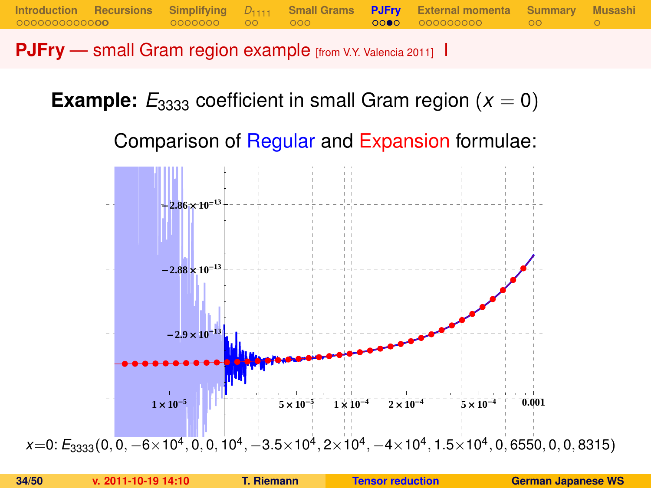**PJFry** — small Gram region example [from V.Y. Valencia 2011] I

**Example:**  $E_{3333}$  coefficient in small Gram region ( $x = 0$ )

Comparison of Regular and Expansion formulae:

**[Introduction](#page-1-0) [Recursions](#page-16-0) [Simplifying](#page-18-0)** *D*[1111](#page-25-0) **[Small Grams](#page-27-0) [PJFry](#page-30-0) [External momenta](#page-35-0) [Summary](#page-46-0) [Musashi](#page-49-0)**

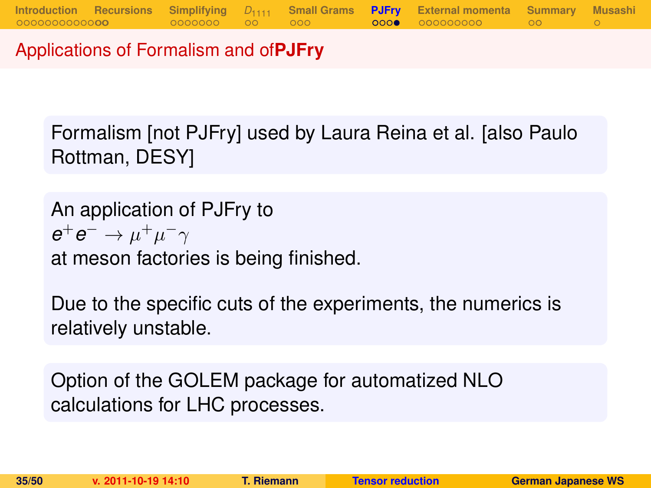Applications of Formalism and of**PJFry**

Formalism [not PJFry] used by Laura Reina et al. [also Paulo Rottman, DESY]

An application of PJFry to  $e^+e^-\rightarrow \mu^+\mu^-\gamma$ at meson factories is being finished.

Due to the specific cuts of the experiments, the numerics is relatively unstable.

Option of the GOLEM package for automatized NLO calculations for LHC processes.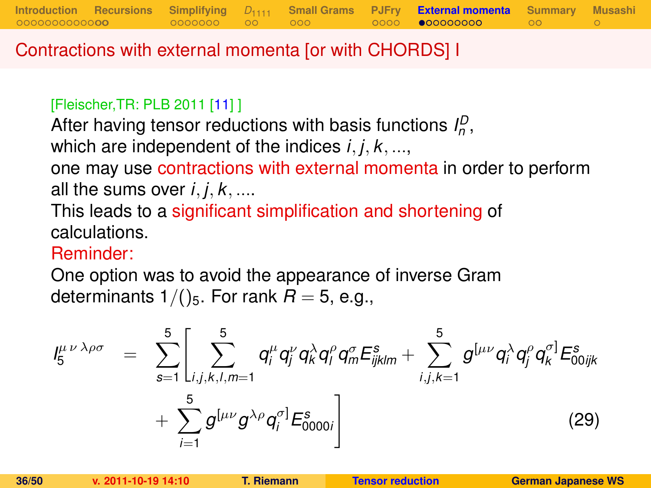Contractions with external momenta [or with CHORDS] I

#### [Fleischer,TR: PLB 2011 [\[11\]](#page-48-1) ]

After having tensor reductions with basis functions  $I_p^D$ , which are independent of the indices *i*, *j*, *k*, ..., one may use contractions with external momenta in order to perform all the sums over  $i, j, k, \ldots$ 

**[Introduction](#page-1-0) [Recursions](#page-16-0) [Simplifying](#page-18-0)** *D*[1111](#page-25-0) **[Small Grams](#page-27-0) [PJFry](#page-30-0) [External momenta](#page-35-0) [Summary](#page-46-0) [Musashi](#page-49-0)**

This leads to a significant simplification and shortening of calculations.

### Reminder:

One option was to avoid the appearance of inverse Gram determinants  $1/()$ <sub>5</sub>. For rank  $R = 5$ , e.g.,

<span id="page-35-0"></span>
$$
I_{5}^{\mu\nu\lambda\rho\sigma} = \sum_{s=1}^{5} \left[ \sum_{i,j,k,l,m=1}^{5} q_{i}^{\mu} q_{j}^{\nu} q_{k}^{\lambda} q_{l}^{\rho} q_{m}^{\sigma} E_{ijklm}^{s} + \sum_{i,j,k=1}^{5} g^{[\mu\nu} q_{i}^{\lambda} q_{j}^{\rho} q_{k}^{\sigma}] E_{00ijk}^{s} + \sum_{i=1}^{5} g^{[\mu\nu} g^{\lambda\rho} q_{i}^{\sigma}] E_{0000i}^{s} \right]
$$
(29)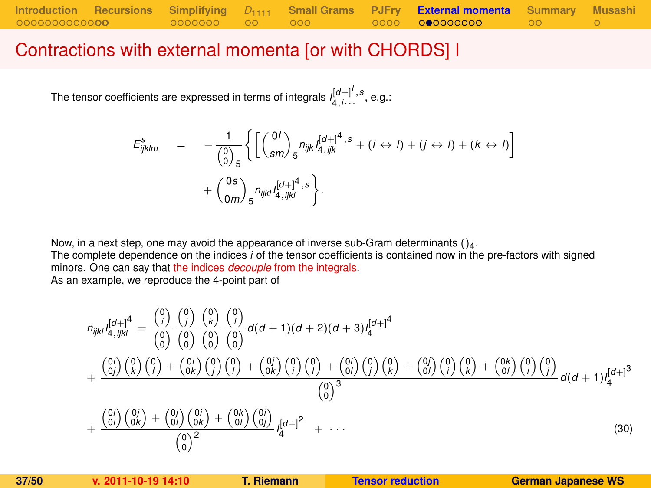### Contractions with external momenta [or with CHORDS] I

The tensor coefficients are expressed in terms of integrals  $I_{4,i\cdots}^{[d+]^I,s}$  , e.g.:

$$
E_{ijklm}^s = -\frac{1}{\binom{0}{0}_{5}} \left\{ \left[ \binom{0I}{sm} _5 n_{ijk} I_{4,ijk}^{[d+]^4, s} + (i \leftrightarrow I) + (j \leftrightarrow I) + (k \leftrightarrow I) \right] + \binom{0s}{am} _5 n_{ijkl} I_{4,ijkl}^{[d+]^4, s} \right\}.
$$

Now, in a next step, one may avoid the appearance of inverse sub-Gram determinants  $()_4$ .

The complete dependence on the indices *i* of the tensor coefficients is contained now in the pre-factors with signed minors. One can say that the indices *decouple* from the integrals.

As an example, we reproduce the 4-point part of

<span id="page-36-0"></span>
$$
n_{ijkl}I_{4,ijkl}^{[d+]4} = \frac{\binom{0}{i}}{\binom{0}{0}}\frac{\binom{0}{i}}{\binom{0}{0}}\frac{\binom{0}{k}}{\binom{0}{0}}\frac{\binom{0}{k}}{\binom{0}{0}}d(d+1)(d+2)(d+3)I_{4}^{[d+1]4}
$$

$$
+\frac{\binom{0}{i}}{\binom{0}{i}}\binom{0}{k}\binom{0}{i}+\binom{0}{i}\binom{0}{j}\binom{0}{j}+\binom{0}{i}\binom{0}{j}\binom{0}{j}+\binom{0}{0i}\binom{0}{j}\binom{0}{k}+\binom{0}{0i}\binom{0}{i}\binom{0}{k}+\binom{0}{0i}\binom{0}{i}\binom{0}{j}}{\binom{0}{0}^{3}}d(d+1)I_{4}^{[d+1]3}
$$

$$
+\frac{\binom{0}{i}}{\binom{0}{i}}\frac{\binom{0}{j}}{\binom{0}{k}}+\frac{\binom{0}{j}}{\binom{0}{j}}\frac{\binom{0}{j}}{\binom{0}{j}}+\frac{\binom{0}{j}}{\binom{0}{j}}\frac{\binom{0}{j}}{\binom{0}{j}}+\frac{\binom{0}{j}}{\binom{0}{j}}\frac{\binom{0}{j}}{\binom{0}{k}}+\frac{\binom{0}{j}}{\binom{0}{j}}\frac{\binom{0}{j}}{\binom{0}{k}}+...
$$
(30)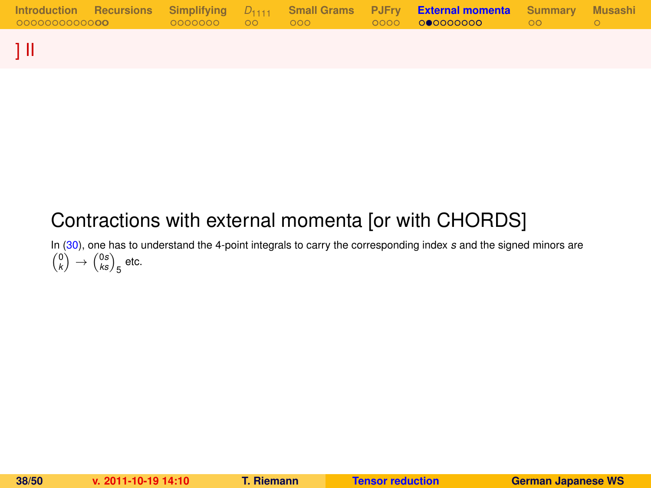|  |  |  | Introduction Recursions Simplifying $D_{1111}$ Small-Grams PJFry External momenta Summary Musashi |  |
|--|--|--|---------------------------------------------------------------------------------------------------|--|
|  |  |  |                                                                                                   |  |
|  |  |  |                                                                                                   |  |

# ] II

# Contractions with external momenta [or with CHORDS]

In [\(30\)](#page-36-0), one has to understand the 4-point integrals to carry the corresponding index *s* and the signed minors are  $\binom{0}{k} \rightarrow \binom{0s}{ks}_5$  etc.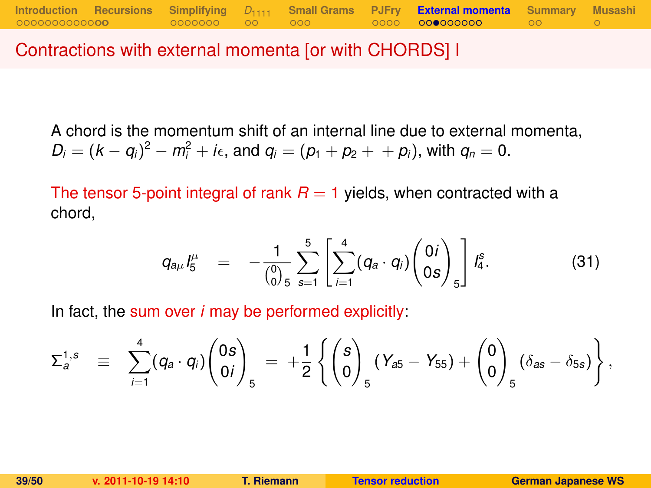Contractions with external momenta [or with CHORDS] I

A chord is the momentum shift of an internal line due to external momenta,  $D_i = (k - q_i)^2 - m_i^2 + i\epsilon$ , and  $q_i = (p_1 + p_2 + p_i)$ , with  $q_n = 0$ .

**[Introduction](#page-1-0) [Recursions](#page-16-0) [Simplifying](#page-18-0)** *D*[1111](#page-25-0) **[Small Grams](#page-27-0) [PJFry](#page-30-0) [External momenta](#page-35-0) [Summary](#page-46-0) [Musashi](#page-49-0)**

The tensor 5-point integral of rank  $R = 1$  yields, when contracted with a chord,

$$
q_{a\mu}I_5^{\mu} = -\frac{1}{\binom{0}{0}5}\sum_{s=1}^5\left[\sum_{i=1}^4(q_a \cdot q_i)\binom{0}{0s}\right]I_4^s. \hspace{1cm} (31)
$$

In fact, the sum over *i* may be performed explicitly:

$$
\Sigma_a^{1,s} \equiv \sum_{i=1}^4 (q_a \cdot q_i) \binom{0s}{0i}_5 = +\frac{1}{2} \left\{ \binom{s}{0}_5 (Y_{a5} - Y_{55}) + \binom{0}{0}_5 (\delta_{as} - \delta_{5s}) \right\},
$$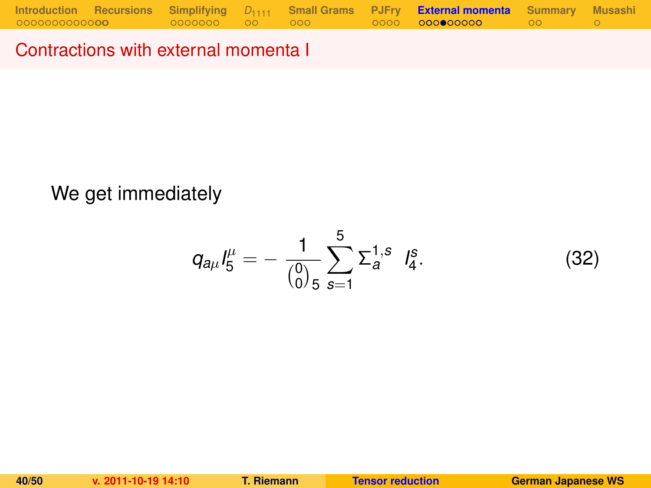Contractions with external momenta I

## We get immediately

$$
q_{a\mu}I_5^{\mu}=-\frac{1}{\binom{0}{0}5}\sum_{s=1}^5\Sigma_a^{1,s}I_4^s.
$$
 (32)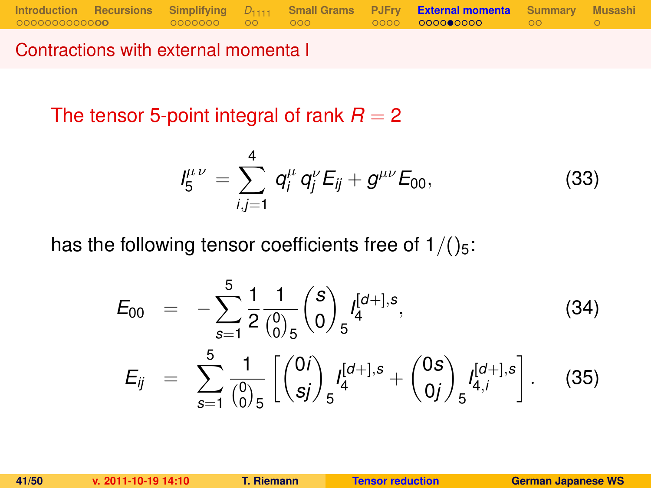Contractions with external momenta I

The tensor 5-point integral of rank  $R = 2$ 

<span id="page-40-0"></span>
$$
I_5^{\mu\nu} = \sum_{i,j=1}^4 q_i^{\mu} q_j^{\nu} E_{ij} + g^{\mu\nu} E_{00}, \qquad (33)
$$

has the following tensor coefficients free of  $1/(25)$ :

$$
E_{00} = -\sum_{s=1}^{5} \frac{1}{2} \frac{1}{\binom{0}{0}} \binom{s}{0} f_4^{[d+],s},
$$
\n
$$
E_{ij} = \sum_{s=1}^{5} \frac{1}{\binom{0}{0}} \left[ \binom{0i}{sj} f_5^{[d+],s} + \binom{0s}{0j} f_{4,i}^{[d+],s} \right].
$$
\n(35)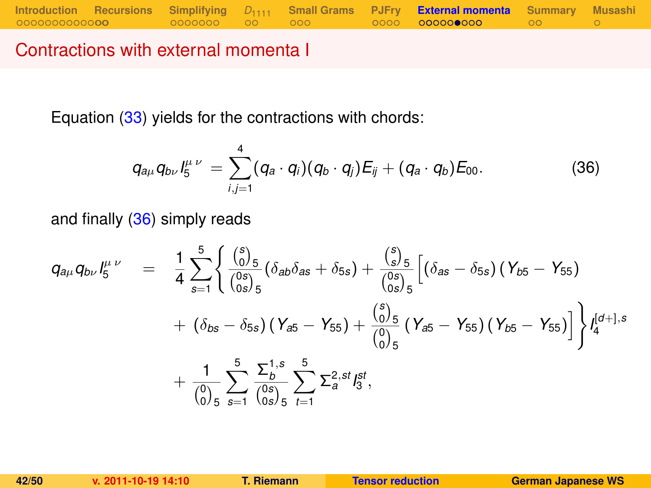### Contractions with external momenta I

Equation [\(33\)](#page-40-0) yields for the contractions with chords:

<span id="page-41-0"></span>
$$
q_{a\mu}q_{b\nu}l_5^{\mu\nu}=\sum_{i,j=1}^4(q_a\cdot q_i)(q_b\cdot q_j)E_{ij}+(q_a\cdot q_b)E_{00}.
$$
 (36)

and finally [\(36\)](#page-41-0) simply reads

$$
q_{a\mu}q_{b\nu}I_5^{\mu\nu} = \frac{1}{4}\sum_{s=1}^5 \left\{ \frac{\binom{s}{0.5}}{\binom{0 s}{0 s/5}}(\delta_{a b}\delta_{a s} + \delta_{5 s}) + \frac{\binom{s}{5}}{\binom{0 s}{0 s/5}}\left[ (\delta_{a s} - \delta_{5 s}) (\gamma_{b 5} - \gamma_{5 5}) + (\delta_{b s} - \delta_{5 s}) (\gamma_{a 5} - \gamma_{5 5}) + (\delta_{b s} - \delta_{5 s}) (\gamma_{a 5} - \gamma_{5 5}) + \frac{\binom{s}{0.5}}{\binom{0.5}{0.5}}(\gamma_{a 5} - \gamma_{5 5}) (\gamma_{b 5} - \gamma_{5 5}) \right] \right\} I_4^{[d+],s}
$$

$$
+ \frac{1}{\binom{0.5}{0.5}} \sum_{s=1}^5 \frac{\sum_{b}^{1, s}}{\binom{0 s}{0 s}} \sum_{t=1}^5 \sum_{s=1}^{2, st} I_5^{st},
$$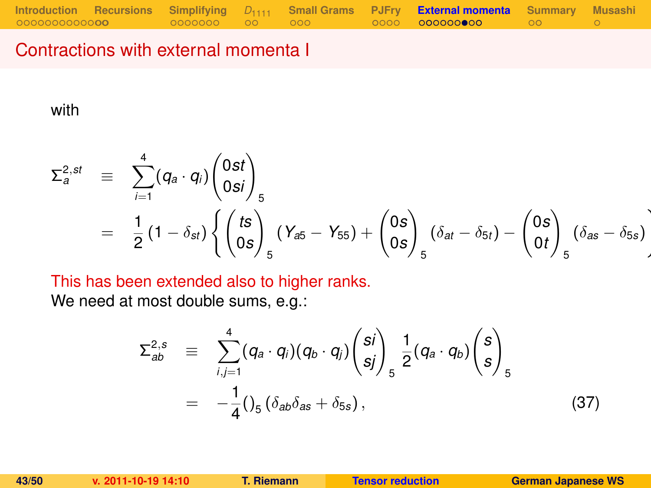### Contractions with external momenta I

with

$$
\Sigma_{a}^{2,st} \equiv \sum_{i=1}^{4} (q_{a} \cdot q_{i}) \begin{pmatrix} 0st \\ 0si \end{pmatrix}_{5}
$$
  
=  $\frac{1}{2} (1 - \delta_{st}) \left\{ \begin{pmatrix} ts \\ 0s \end{pmatrix}_{5} (Y_{a5} - Y_{55}) + \begin{pmatrix} 0s \\ 0s \end{pmatrix}_{5} (\delta_{at} - \delta_{5t}) - \begin{pmatrix} 0s \\ 0t \end{pmatrix}_{5} (\delta_{as} - \delta_{5s}) \right\}$ 

This has been extended also to higher ranks.

We need at most double sums, e.g.:

$$
\Sigma_{ab}^{2,s} \equiv \sum_{i,j=1}^{4} (q_a \cdot q_i)(q_b \cdot q_j) {s_i \choose s_j}_{s} \frac{1}{2} (q_a \cdot q_b) {s \choose s}_{s}
$$
  

$$
= -\frac{1}{4} ( \int_5 (\delta_{ab} \delta_{as} + \delta_{5s} ), \qquad (37)
$$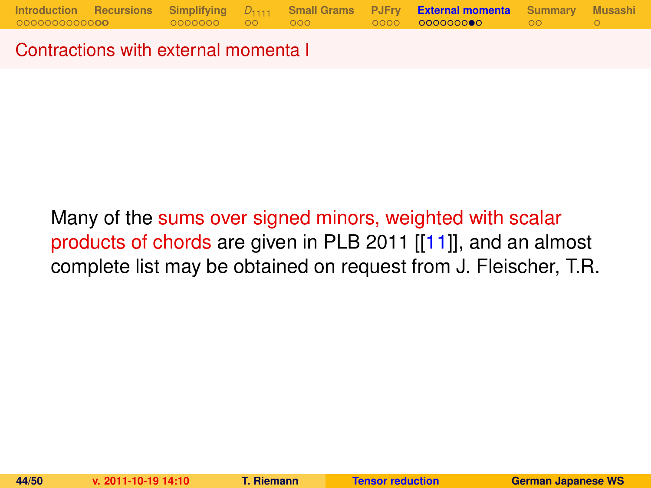Contractions with external momenta I

# Many of the sums over signed minors, weighted with scalar products of chords are given in PLB 2011 [[\[11\]](#page-48-1)], and an almost complete list may be obtained on request from J. Fleischer, T.R.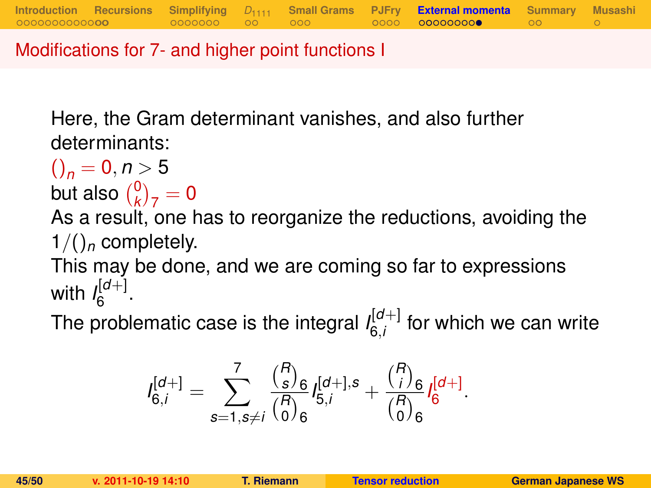Modifications for 7- and higher point functions I

Here, the Gram determinant vanishes, and also further determinants:

$$
\binom{}{n} = 0, n > 5
$$
but also 
$$
\binom{0}{k}_7 = 0
$$

As a result, one has to reorganize the reductions, avoiding the  $1/()_n$  completely.

**[Introduction](#page-1-0) [Recursions](#page-16-0) [Simplifying](#page-18-0)** *D*[1111](#page-25-0) **[Small Grams](#page-27-0) [PJFry](#page-30-0) [External momenta](#page-35-0) [Summary](#page-46-0) [Musashi](#page-49-0)**

This may be done, and we are coming so far to expressions with  $\int_{6}^{[d+]}$ יש⊩<br>6

The problematic case is the integral  $I_{6i}^{[d+]}$  $\int_{6,i}^{[0+]}$  for which we can write

$$
I_{6,i}^{[d+]} = \sum_{s=1, s \neq i}^{7} \frac{{R \choose s}_6}{{R \choose 0}_6} I_{5,i}^{[d+],s} + \frac{{R \choose i}_6}{{R \choose 0}_6} I_{6}^{[d+]}.
$$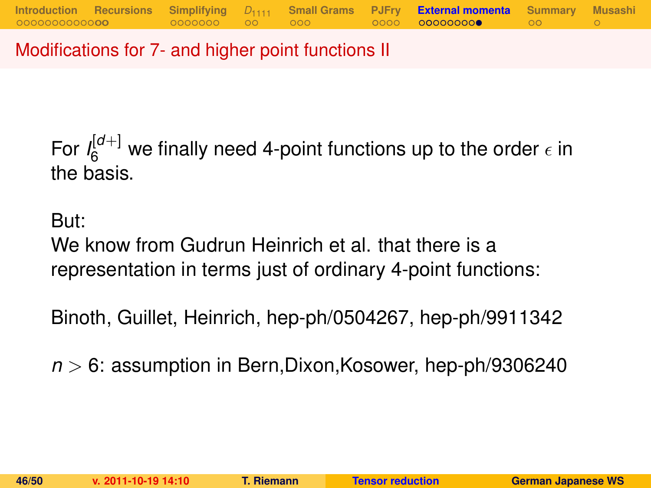Modifications for 7- and higher point functions II

For  $I_6^{[d+]}$  we finally need 4-point functions up to the order  $\epsilon$  in the basis.

But:

We know from Gudrun Heinrich et al. that there is a representation in terms just of ordinary 4-point functions:

Binoth, Guillet, Heinrich, hep-ph/0504267, hep-ph/9911342

*n* > 6: assumption in Bern,Dixon,Kosower, hep-ph/9306240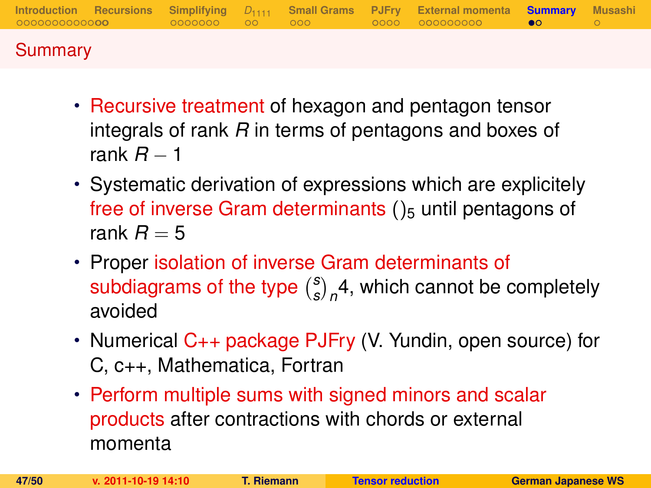|         |  |  | Introduction Recursions Simplifying $D_{1111}$ Small-Grams PJFry External-momenta <b>Summary</b> Musashi |  |
|---------|--|--|----------------------------------------------------------------------------------------------------------|--|
| Summary |  |  |                                                                                                          |  |

- Recursive treatment of hexagon and pentagon tensor integrals of rank *R* in terms of pentagons and boxes of rank  $R = 1$
- Systematic derivation of expressions which are explicitely free of inverse Gram determinants  $()_5$  until pentagons of rank  $R = 5$
- Proper isolation of inverse Gram determinants of subdiagrams of the type *s*  $\binom{s}{s}_n$ 4, which cannot be completely avoided
- Numerical C++ package PJFry (V. Yundin, open source) for C, c++, Mathematica, Fortran
- <span id="page-46-0"></span>• Perform multiple sums with signed minors and scalar products after contractions with chords or external momenta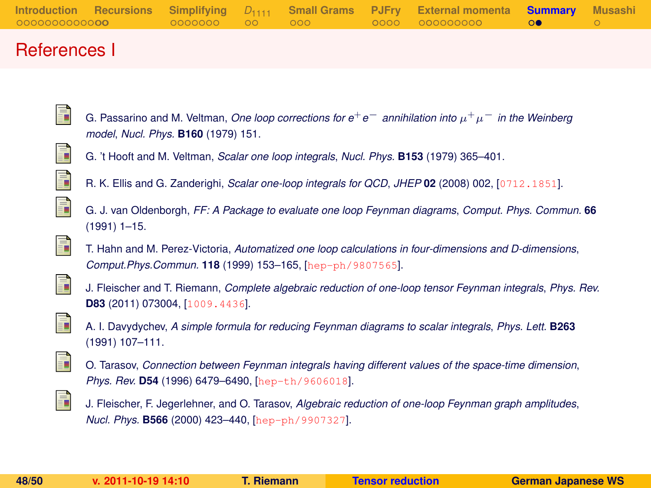### References I

- G. Passarino and M. Veltman, *One loop corrections for e*+*e*<sup>−</sup> *annihilation into* µ <sup>+</sup>µ<sup>−</sup> *in the Weinberg model*, *Nucl. Phys.* **B160** (1979) 151.
- <span id="page-47-2"></span><span id="page-47-1"></span>ī  $\mathbb{I}$

<span id="page-47-0"></span>ā.

- G. 't Hooft and M. Veltman, *Scalar one loop integrals*, *Nucl. Phys.* **B153** (1979) 365–401.
- R. K. Ellis and G. Zanderighi, *Scalar one-loop integrals for QCD*, *JHEP* **02** (2008) 002, [[0712.1851](http://xxx.lanl.gov/abs/0712.1851)].
- <span id="page-47-3"></span> $\mathbb{R}^2$ F
- G. J. van Oldenborgh, *FF: A Package to evaluate one loop Feynman diagrams*, *Comput. Phys. Commun.* **66** (1991) 1–15.
- <span id="page-47-4"></span>T. Hahn and M. Perez-Victoria, *Automatized one loop calculations in four-dimensions and D-dimensions*, *Comput.Phys.Commun.* **118** (1999) 153–165, [[hep-ph/9807565](http://xxx.lanl.gov/abs/hep-ph/9807565)].

<span id="page-47-5"></span>

J. Fleischer and T. Riemann, *Complete algebraic reduction of one-loop tensor Feynman integrals*, *Phys. Rev.* **D83** (2011) 073004, [[1009.4436](http://xxx.lanl.gov/abs/1009.4436)].

<span id="page-47-6"></span>

A. I. Davydychev, *A simple formula for reducing Feynman diagrams to scalar integrals*, *Phys. Lett.* **B263** (1991) 107–111.

<span id="page-47-7"></span>

O. Tarasov, *Connection between Feynman integrals having different values of the space-time dimension*, *Phys. Rev.* **D54** (1996) 6479–6490, [[hep-th/9606018](http://xxx.lanl.gov/abs/hep-th/9606018)].

<span id="page-47-8"></span>

J. Fleischer, F. Jegerlehner, and O. Tarasov, *Algebraic reduction of one-loop Feynman graph amplitudes*, *Nucl. Phys.* **B566** (2000) 423–440, [[hep-ph/9907327](http://xxx.lanl.gov/abs/hep-ph/9907327)].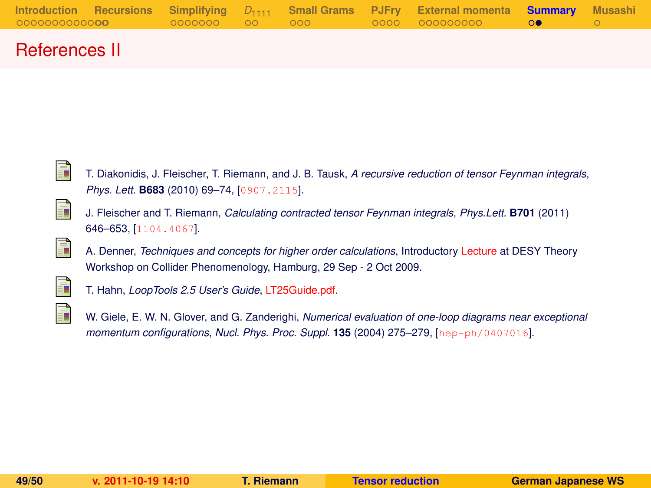|                       |                 |  | Introduction Recursions Simplifying $D_{1111}$ Small Grams PJFry External momenta <b>Summary</b> Musashi |  |
|-----------------------|-----------------|--|----------------------------------------------------------------------------------------------------------|--|
| 00000000000 <b>00</b> | 00000000 00 000 |  | $\overline{0}$ 0000 000000000 00 $\overline{0}$                                                          |  |

### References II

<span id="page-48-0"></span>

T. Diakonidis, J. Fleischer, T. Riemann, and J. B. Tausk, *A recursive reduction of tensor Feynman integrals*, *Phys. Lett.* **B683** (2010) 69–74, [[0907.2115](http://xxx.lanl.gov/abs/0907.2115)].

<span id="page-48-1"></span>

J. Fleischer and T. Riemann, *Calculating contracted tensor Feynman integrals*, *Phys.Lett.* **B701** (2011) 646–653, [[1104.4067](http://xxx.lanl.gov/abs/1104.4067)].

<span id="page-48-2"></span>

<span id="page-48-3"></span>

T. Hahn, *LoopTools 2.5 User's Guide*, [LT25Guide.pdf.](http://www.feynarts.de/looptools/LT25Guide.pdf)

<span id="page-48-4"></span>

W. Giele, E. W. N. Glover, and G. Zanderighi, *Numerical evaluation of one-loop diagrams near exceptional momentum configurations*, *Nucl. Phys. Proc. Suppl.* **135** (2004) 275–279, [[hep-ph/0407016](http://xxx.lanl.gov/abs/hep-ph/0407016)].